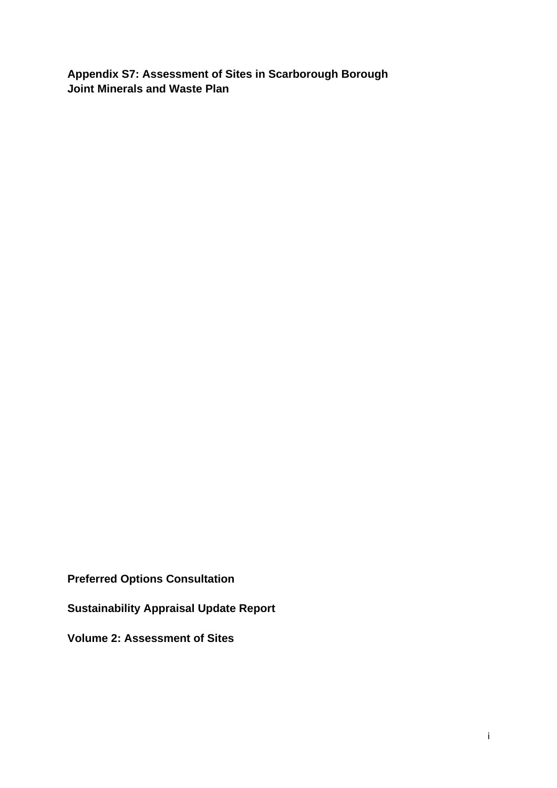**Appendix S7: Assessment of Sites in Scarborough Borough Joint Minerals and Waste Plan** 

**Preferred Options Consultation** 

**Sustainability Appraisal Update Report** 

**Volume 2: Assessment of Sites**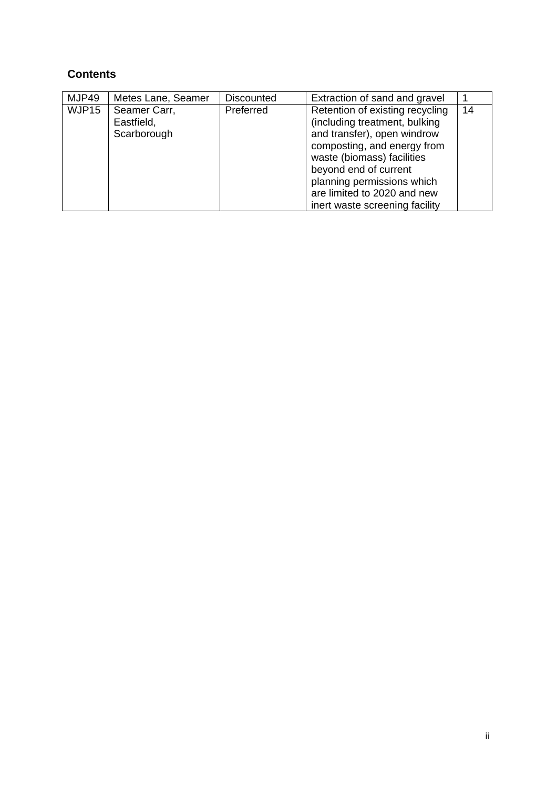## **Contents**

| MJP49 | Metes Lane, Seamer                        | <b>Discounted</b> | Extraction of sand and gravel                                                                                                                                                                                                                                                        |    |
|-------|-------------------------------------------|-------------------|--------------------------------------------------------------------------------------------------------------------------------------------------------------------------------------------------------------------------------------------------------------------------------------|----|
| WJP15 | Seamer Carr,<br>Eastfield,<br>Scarborough | Preferred         | Retention of existing recycling<br>(including treatment, bulking<br>and transfer), open windrow<br>composting, and energy from<br>waste (biomass) facilities<br>beyond end of current<br>planning permissions which<br>are limited to 2020 and new<br>inert waste screening facility | 14 |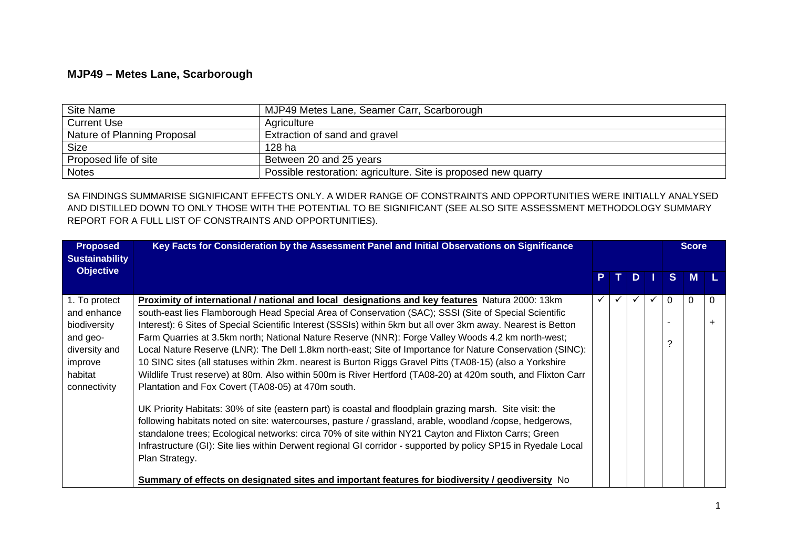## **MJP49 – Metes Lane, Scarborough**

| Site Name                   | MJP49 Metes Lane, Seamer Carr, Scarborough                     |
|-----------------------------|----------------------------------------------------------------|
| <b>Current Use</b>          | Agriculture                                                    |
| Nature of Planning Proposal | Extraction of sand and gravel                                  |
| <b>Size</b>                 | 128 ha                                                         |
| Proposed life of site       | Between 20 and 25 years                                        |
| <b>Notes</b>                | Possible restoration: agriculture. Site is proposed new quarry |

SA FINDINGS SUMMARISE SIGNIFICANT EFFECTS ONLY. A WIDER RANGE OF CONSTRAINTS AND OPPORTUNITIES WERE INITIALLY ANALYSED AND DISTILLED DOWN TO ONLY THOSE WITH THE POTENTIAL TO BE SIGNIFICANT (SEE ALSO SITE ASSESSMENT METHODOLOGY SUMMARY REPORT FOR A FULL LIST OF CONSTRAINTS AND OPPORTUNITIES).

| <b>Proposed</b><br><b>Sustainability</b>                                                                        | Key Facts for Consideration by the Assessment Panel and Initial Observations on Significance                                                                                                                                                                                                                                                                                                                                                                                                                                                                                                                                                                                                                                                                                                                                                                                                                                                                                                                                                                                                                                                                                                                                                                                                        |              |  |      |  |              | <b>Score</b> |          |
|-----------------------------------------------------------------------------------------------------------------|-----------------------------------------------------------------------------------------------------------------------------------------------------------------------------------------------------------------------------------------------------------------------------------------------------------------------------------------------------------------------------------------------------------------------------------------------------------------------------------------------------------------------------------------------------------------------------------------------------------------------------------------------------------------------------------------------------------------------------------------------------------------------------------------------------------------------------------------------------------------------------------------------------------------------------------------------------------------------------------------------------------------------------------------------------------------------------------------------------------------------------------------------------------------------------------------------------------------------------------------------------------------------------------------------------|--------------|--|------|--|--------------|--------------|----------|
| <b>Objective</b>                                                                                                |                                                                                                                                                                                                                                                                                                                                                                                                                                                                                                                                                                                                                                                                                                                                                                                                                                                                                                                                                                                                                                                                                                                                                                                                                                                                                                     | P            |  | TDII |  | $\mathbf{s}$ | M            |          |
| 1. To protect<br>and enhance<br>biodiversity<br>and geo-<br>diversity and<br>improve<br>habitat<br>connectivity | Proximity of international / national and local designations and key features Natura 2000: 13km<br>south-east lies Flamborough Head Special Area of Conservation (SAC); SSSI (Site of Special Scientific<br>Interest): 6 Sites of Special Scientific Interest (SSSIs) within 5km but all over 3km away. Nearest is Betton<br>Farm Quarries at 3.5km north; National Nature Reserve (NNR): Forge Valley Woods 4.2 km north-west;<br>Local Nature Reserve (LNR): The Dell 1.8km north-east; Site of Importance for Nature Conservation (SINC):<br>10 SINC sites (all statuses within 2km. nearest is Burton Riggs Gravel Pitts (TA08-15) (also a Yorkshire<br>Wildlife Trust reserve) at 80m. Also within 500m is River Hertford (TA08-20) at 420m south, and Flixton Carr<br>Plantation and Fox Covert (TA08-05) at 470m south.<br>UK Priority Habitats: 30% of site (eastern part) is coastal and floodplain grazing marsh. Site visit: the<br>following habitats noted on site: watercourses, pasture / grassland, arable, woodland /copse, hedgerows,<br>standalone trees; Ecological networks: circa 70% of site within NY21 Cayton and Flixton Carrs; Green<br>Infrastructure (GI): Site lies within Derwent regional GI corridor - supported by policy SP15 in Ryedale Local<br>Plan Strategy. | $\checkmark$ |  |      |  | $\Omega$     | 0            | $\Omega$ |
|                                                                                                                 | Summary of effects on designated sites and important features for biodiversity / geodiversity No                                                                                                                                                                                                                                                                                                                                                                                                                                                                                                                                                                                                                                                                                                                                                                                                                                                                                                                                                                                                                                                                                                                                                                                                    |              |  |      |  |              |              |          |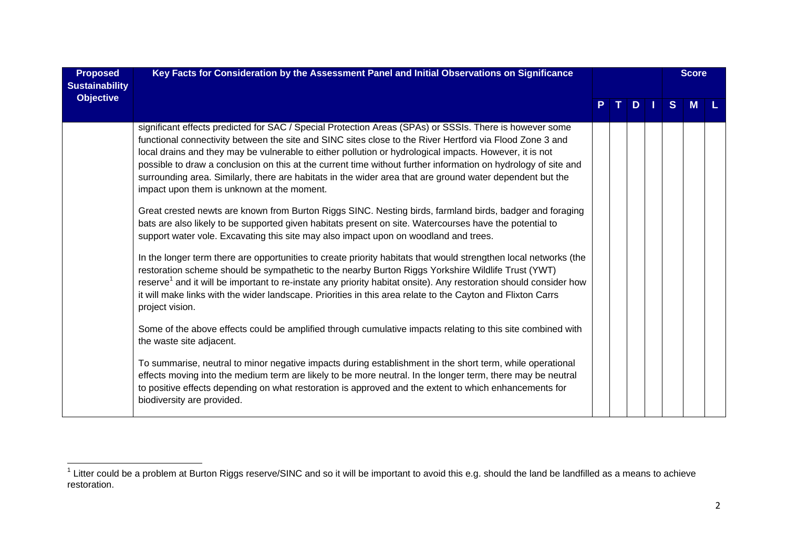| <b>Proposed</b><br><b>Sustainability</b> | Key Facts for Consideration by the Assessment Panel and Initial Observations on Significance                                                                                                                                                                                                                                                                                                                                                                                                                                                                                                                |  |  |    |  |              | <b>Score</b> |  |
|------------------------------------------|-------------------------------------------------------------------------------------------------------------------------------------------------------------------------------------------------------------------------------------------------------------------------------------------------------------------------------------------------------------------------------------------------------------------------------------------------------------------------------------------------------------------------------------------------------------------------------------------------------------|--|--|----|--|--------------|--------------|--|
| <b>Objective</b>                         |                                                                                                                                                                                                                                                                                                                                                                                                                                                                                                                                                                                                             |  |  | D. |  | <sub>S</sub> |              |  |
|                                          | significant effects predicted for SAC / Special Protection Areas (SPAs) or SSSIs. There is however some<br>functional connectivity between the site and SINC sites close to the River Hertford via Flood Zone 3 and<br>local drains and they may be vulnerable to either pollution or hydrological impacts. However, it is not<br>possible to draw a conclusion on this at the current time without further information on hydrology of site and<br>surrounding area. Similarly, there are habitats in the wider area that are ground water dependent but the<br>impact upon them is unknown at the moment. |  |  |    |  |              |              |  |
|                                          | Great crested newts are known from Burton Riggs SINC. Nesting birds, farmland birds, badger and foraging<br>bats are also likely to be supported given habitats present on site. Watercourses have the potential to<br>support water vole. Excavating this site may also impact upon on woodland and trees.                                                                                                                                                                                                                                                                                                 |  |  |    |  |              |              |  |
|                                          | In the longer term there are opportunities to create priority habitats that would strengthen local networks (the<br>restoration scheme should be sympathetic to the nearby Burton Riggs Yorkshire Wildlife Trust (YWT)<br>reserve <sup>1</sup> and it will be important to re-instate any priority habitat onsite). Any restoration should consider how<br>it will make links with the wider landscape. Priorities in this area relate to the Cayton and Flixton Carrs<br>project vision.                                                                                                                   |  |  |    |  |              |              |  |
|                                          | Some of the above effects could be amplified through cumulative impacts relating to this site combined with<br>the waste site adjacent.                                                                                                                                                                                                                                                                                                                                                                                                                                                                     |  |  |    |  |              |              |  |
|                                          | To summarise, neutral to minor negative impacts during establishment in the short term, while operational<br>effects moving into the medium term are likely to be more neutral. In the longer term, there may be neutral<br>to positive effects depending on what restoration is approved and the extent to which enhancements for<br>biodiversity are provided.                                                                                                                                                                                                                                            |  |  |    |  |              |              |  |

 $^1$  Litter could be a problem at Burton Riggs reserve/SINC and so it will be important to avoid this e.g. should the land be landfilled as a means to achieve restoration.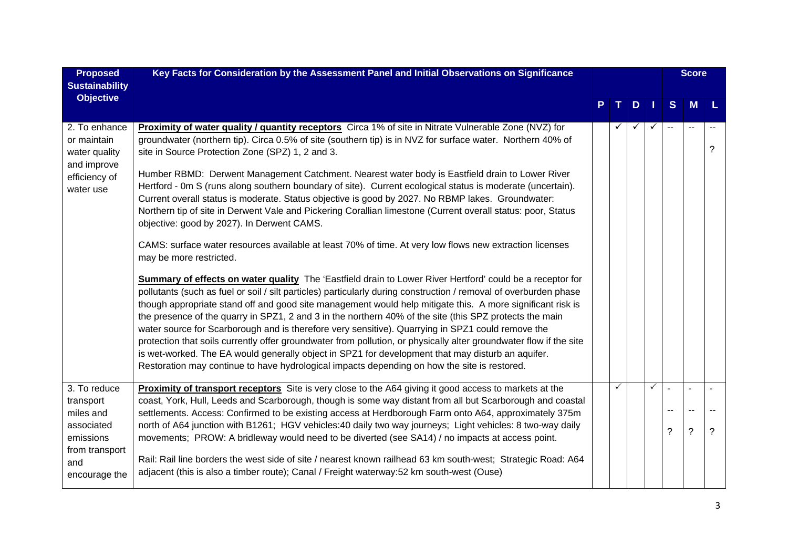| <b>Proposed</b>                                              | Key Facts for Consideration by the Assessment Panel and Initial Observations on Significance                                                                                                                                                                                                                                                                                                                                                                                                                                                                                                                                                                                                                                                                                                                                                                                            |  |   |   |                |                          |                |   | <b>Score</b> |  |
|--------------------------------------------------------------|-----------------------------------------------------------------------------------------------------------------------------------------------------------------------------------------------------------------------------------------------------------------------------------------------------------------------------------------------------------------------------------------------------------------------------------------------------------------------------------------------------------------------------------------------------------------------------------------------------------------------------------------------------------------------------------------------------------------------------------------------------------------------------------------------------------------------------------------------------------------------------------------|--|---|---|----------------|--------------------------|----------------|---|--------------|--|
| <b>Sustainability</b>                                        |                                                                                                                                                                                                                                                                                                                                                                                                                                                                                                                                                                                                                                                                                                                                                                                                                                                                                         |  |   |   |                |                          |                |   |              |  |
| <b>Objective</b>                                             |                                                                                                                                                                                                                                                                                                                                                                                                                                                                                                                                                                                                                                                                                                                                                                                                                                                                                         |  |   | D | $\blacksquare$ | S                        | M              |   |              |  |
|                                                              |                                                                                                                                                                                                                                                                                                                                                                                                                                                                                                                                                                                                                                                                                                                                                                                                                                                                                         |  |   |   |                |                          |                |   |              |  |
| 2. To enhance<br>or maintain<br>water quality<br>and improve | Proximity of water quality / quantity receptors Circa 1% of site in Nitrate Vulnerable Zone (NVZ) for<br>groundwater (northern tip). Circa 0.5% of site (southern tip) is in NVZ for surface water. Northern 40% of<br>site in Source Protection Zone (SPZ) 1, 2 and 3.                                                                                                                                                                                                                                                                                                                                                                                                                                                                                                                                                                                                                 |  |   |   | $\checkmark$   | $\overline{\phantom{a}}$ | $\sim$ $\sim$  | ? |              |  |
| efficiency of<br>water use                                   | Humber RBMD: Derwent Management Catchment. Nearest water body is Eastfield drain to Lower River<br>Hertford - 0m S (runs along southern boundary of site). Current ecological status is moderate (uncertain).<br>Current overall status is moderate. Status objective is good by 2027. No RBMP lakes. Groundwater:<br>Northern tip of site in Derwent Vale and Pickering Corallian limestone (Current overall status: poor, Status<br>objective: good by 2027). In Derwent CAMS.                                                                                                                                                                                                                                                                                                                                                                                                        |  |   |   |                |                          |                |   |              |  |
|                                                              | CAMS: surface water resources available at least 70% of time. At very low flows new extraction licenses<br>may be more restricted.                                                                                                                                                                                                                                                                                                                                                                                                                                                                                                                                                                                                                                                                                                                                                      |  |   |   |                |                          |                |   |              |  |
|                                                              | Summary of effects on water quality The 'Eastfield drain to Lower River Hertford' could be a receptor for<br>pollutants (such as fuel or soil / silt particles) particularly during construction / removal of overburden phase<br>though appropriate stand off and good site management would help mitigate this. A more significant risk is<br>the presence of the quarry in SPZ1, 2 and 3 in the northern 40% of the site (this SPZ protects the main<br>water source for Scarborough and is therefore very sensitive). Quarrying in SPZ1 could remove the<br>protection that soils currently offer groundwater from pollution, or physically alter groundwater flow if the site<br>is wet-worked. The EA would generally object in SPZ1 for development that may disturb an aquifer.<br>Restoration may continue to have hydrological impacts depending on how the site is restored. |  |   |   |                |                          |                |   |              |  |
| 3. To reduce                                                 | <b>Proximity of transport receptors</b> Site is very close to the A64 giving it good access to markets at the                                                                                                                                                                                                                                                                                                                                                                                                                                                                                                                                                                                                                                                                                                                                                                           |  | ✓ |   | $\checkmark$   | $\overline{a}$           | $\sim$         |   |              |  |
| transport<br>miles and                                       | coast, York, Hull, Leeds and Scarborough, though is some way distant from all but Scarborough and coastal<br>settlements. Access: Confirmed to be existing access at Herdborough Farm onto A64, approximately 375m                                                                                                                                                                                                                                                                                                                                                                                                                                                                                                                                                                                                                                                                      |  |   |   |                | $\overline{\phantom{m}}$ | $\sim$ $\sim$  |   |              |  |
| associated<br>emissions<br>from transport                    | north of A64 junction with B1261; HGV vehicles:40 daily two way journeys; Light vehicles: 8 two-way daily<br>movements; PROW: A bridleway would need to be diverted (see SA14) / no impacts at access point.                                                                                                                                                                                                                                                                                                                                                                                                                                                                                                                                                                                                                                                                            |  |   |   |                | ?                        | $\overline{?}$ | ? |              |  |
| and<br>encourage the                                         | Rail: Rail line borders the west side of site / nearest known railhead 63 km south-west; Strategic Road: A64<br>adjacent (this is also a timber route); Canal / Freight waterway:52 km south-west (Ouse)                                                                                                                                                                                                                                                                                                                                                                                                                                                                                                                                                                                                                                                                                |  |   |   |                |                          |                |   |              |  |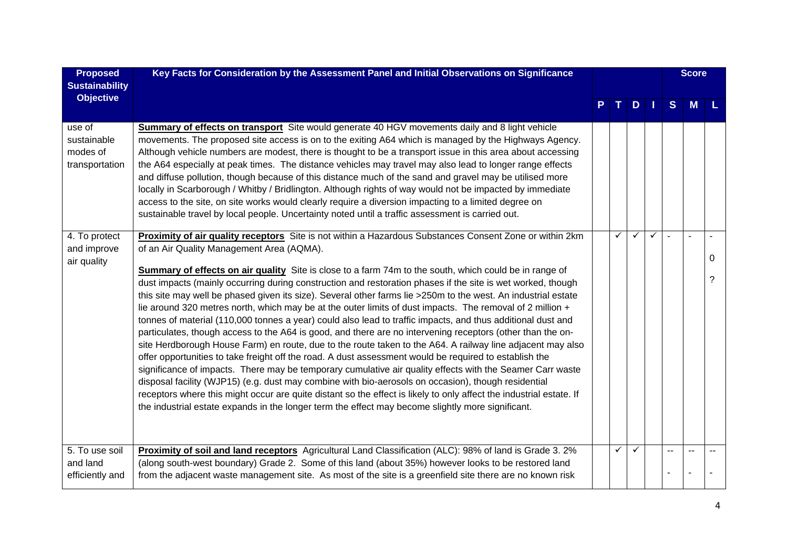| <b>Proposed</b><br><b>Sustainability</b>            | Key Facts for Consideration by the Assessment Panel and Initial Observations on Significance                                                                                                                                                                                                                                                                                                                                                                                                                                                                                                                                                                                                                                                                                                                                                                                                                                                                                                                                                                                                                                                                                                                                                                                                                                                                                                                                                                                                                            |    |               |              | <b>Score</b> |                          |        |
|-----------------------------------------------------|-------------------------------------------------------------------------------------------------------------------------------------------------------------------------------------------------------------------------------------------------------------------------------------------------------------------------------------------------------------------------------------------------------------------------------------------------------------------------------------------------------------------------------------------------------------------------------------------------------------------------------------------------------------------------------------------------------------------------------------------------------------------------------------------------------------------------------------------------------------------------------------------------------------------------------------------------------------------------------------------------------------------------------------------------------------------------------------------------------------------------------------------------------------------------------------------------------------------------------------------------------------------------------------------------------------------------------------------------------------------------------------------------------------------------------------------------------------------------------------------------------------------------|----|---------------|--------------|--------------|--------------------------|--------|
| <b>Objective</b>                                    |                                                                                                                                                                                                                                                                                                                                                                                                                                                                                                                                                                                                                                                                                                                                                                                                                                                                                                                                                                                                                                                                                                                                                                                                                                                                                                                                                                                                                                                                                                                         | т. | $D$   $\vert$ |              | S            | <b>M</b>                 |        |
| use of<br>sustainable<br>modes of<br>transportation | Summary of effects on transport Site would generate 40 HGV movements daily and 8 light vehicle<br>movements. The proposed site access is on to the exiting A64 which is managed by the Highways Agency.<br>Although vehicle numbers are modest, there is thought to be a transport issue in this area about accessing<br>the A64 especially at peak times. The distance vehicles may travel may also lead to longer range effects<br>and diffuse pollution, though because of this distance much of the sand and gravel may be utilised more<br>locally in Scarborough / Whitby / Bridlington. Although rights of way would not be impacted by immediate<br>access to the site, on site works would clearly require a diversion impacting to a limited degree on<br>sustainable travel by local people. Uncertainty noted until a traffic assessment is carried out.                                                                                                                                                                                                                                                                                                                                                                                                                                                                                                                                                                                                                                                    |    |               |              |              |                          |        |
| 4. To protect<br>and improve<br>air quality         | Proximity of air quality receptors Site is not within a Hazardous Substances Consent Zone or within 2km<br>of an Air Quality Management Area (AQMA).<br><b>Summary of effects on air quality</b> Site is close to a farm 74m to the south, which could be in range of<br>dust impacts (mainly occurring during construction and restoration phases if the site is wet worked, though<br>this site may well be phased given its size). Several other farms lie >250m to the west. An industrial estate<br>lie around 320 metres north, which may be at the outer limits of dust impacts. The removal of 2 million +<br>tonnes of material (110,000 tonnes a year) could also lead to traffic impacts, and thus additional dust and<br>particulates, though access to the A64 is good, and there are no intervening receptors (other than the on-<br>site Herdborough House Farm) en route, due to the route taken to the A64. A railway line adjacent may also<br>offer opportunities to take freight off the road. A dust assessment would be required to establish the<br>significance of impacts. There may be temporary cumulative air quality effects with the Seamer Carr waste<br>disposal facility (WJP15) (e.g. dust may combine with bio-aerosols on occasion), though residential<br>receptors where this might occur are quite distant so the effect is likely to only affect the industrial estate. If<br>the industrial estate expands in the longer term the effect may become slightly more significant. | ✓  | ✓             | $\checkmark$ |              | $\overline{\phantom{a}}$ | 0<br>2 |
| 5. To use soil<br>and land<br>efficiently and       | Proximity of soil and land receptors Agricultural Land Classification (ALC): 98% of land is Grade 3. 2%<br>(along south-west boundary) Grade 2. Some of this land (about 35%) however looks to be restored land<br>from the adjacent waste management site. As most of the site is a greenfield site there are no known risk                                                                                                                                                                                                                                                                                                                                                                                                                                                                                                                                                                                                                                                                                                                                                                                                                                                                                                                                                                                                                                                                                                                                                                                            | ✓  |               |              |              |                          |        |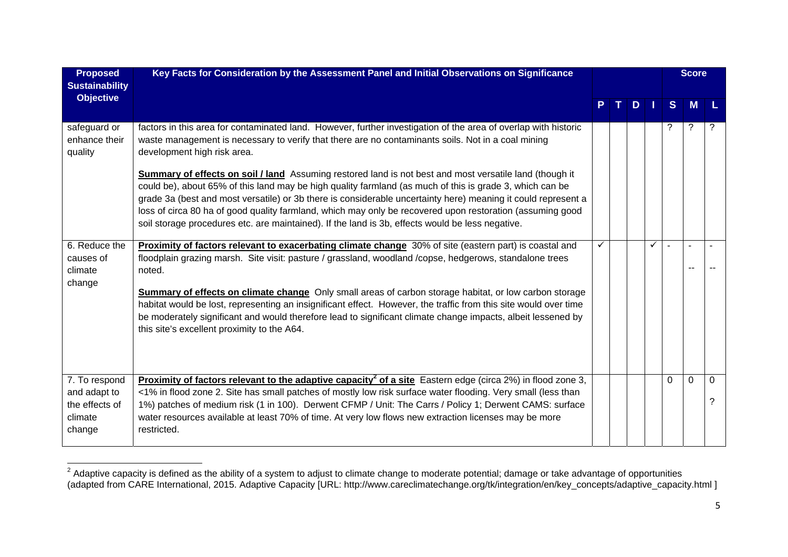| <b>Proposed</b><br><b>Sustainability</b>                             | Key Facts for Consideration by the Assessment Panel and Initial Observations on Significance                                                                                                                                                                                                                                                                                                                                                                                                                                                          |   |  |    |   | <b>Score</b> |                |               |
|----------------------------------------------------------------------|-------------------------------------------------------------------------------------------------------------------------------------------------------------------------------------------------------------------------------------------------------------------------------------------------------------------------------------------------------------------------------------------------------------------------------------------------------------------------------------------------------------------------------------------------------|---|--|----|---|--------------|----------------|---------------|
| <b>Objective</b>                                                     |                                                                                                                                                                                                                                                                                                                                                                                                                                                                                                                                                       |   |  | D. |   | <sub>S</sub> | M              |               |
| safeguard or<br>enhance their<br>quality                             | factors in this area for contaminated land. However, further investigation of the area of overlap with historic<br>waste management is necessary to verify that there are no contaminants soils. Not in a coal mining<br>development high risk area.                                                                                                                                                                                                                                                                                                  |   |  |    |   | ?            | ?              | ?             |
|                                                                      | Summary of effects on soil / land Assuming restored land is not best and most versatile land (though it<br>could be), about 65% of this land may be high quality farmland (as much of this is grade 3, which can be<br>grade 3a (best and most versatile) or 3b there is considerable uncertainty here) meaning it could represent a<br>loss of circa 80 ha of good quality farmland, which may only be recovered upon restoration (assuming good<br>soil storage procedures etc. are maintained). If the land is 3b, effects would be less negative. |   |  |    |   |              |                |               |
| 6. Reduce the<br>causes of<br>climate<br>change                      | Proximity of factors relevant to exacerbating climate change 30% of site (eastern part) is coastal and<br>floodplain grazing marsh. Site visit: pasture / grassland, woodland /copse, hedgerows, standalone trees<br>noted.                                                                                                                                                                                                                                                                                                                           | ✓ |  |    | ✓ | ÷            | $\overline{a}$ |               |
|                                                                      | <b>Summary of effects on climate change</b> Only small areas of carbon storage habitat, or low carbon storage<br>habitat would be lost, representing an insignificant effect. However, the traffic from this site would over time<br>be moderately significant and would therefore lead to significant climate change impacts, albeit lessened by<br>this site's excellent proximity to the A64.                                                                                                                                                      |   |  |    |   |              |                |               |
| 7. To respond<br>and adapt to<br>the effects of<br>climate<br>change | <b>Proximity of factors relevant to the adaptive capacity<sup>2</sup> of a site</b> Eastern edge (circa 2%) in flood zone 3,<br><1% in flood zone 2. Site has small patches of mostly low risk surface water flooding. Very small (less than<br>1%) patches of medium risk (1 in 100). Derwent CFMP / Unit: The Carrs / Policy 1; Derwent CAMS: surface<br>water resources available at least 70% of time. At very low flows new extraction licenses may be more<br>restricted.                                                                       |   |  |    |   | $\Omega$     | $\Omega$       | $\Omega$<br>? |

 $^2$  Adaptive capacity is defined as the ability of a system to adjust to climate change to moderate potential; damage or take advantage of opportunities (adapted from CARE International, 2015. Adaptive Capacity [URL: http://www.careclimatechange.org/tk/integration/en/key\_concepts/adaptive\_capacity.html ]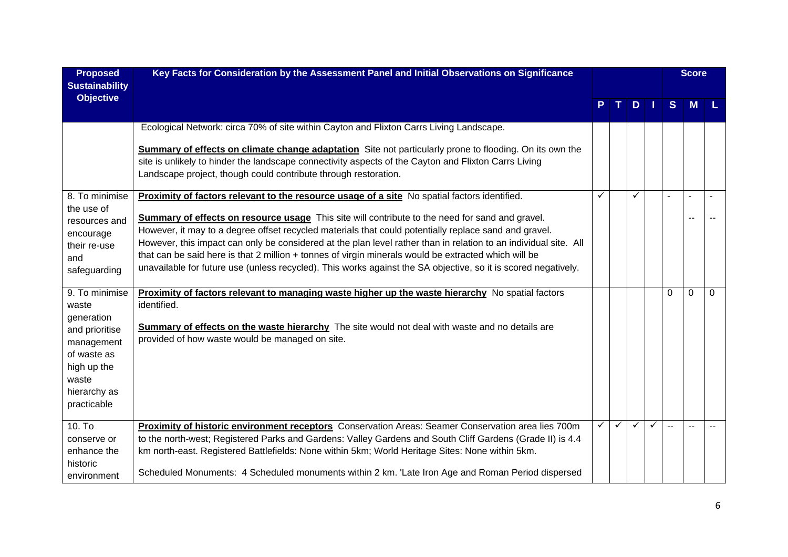| <b>Proposed</b><br><b>Sustainability</b>                                                                                  | Key Facts for Consideration by the Assessment Panel and Initial Observations on Significance                                                                                                                                                                                                                                                                                                                                                                                                                                                           |   |              |              |              |          |                |          | <b>Score</b> |  |
|---------------------------------------------------------------------------------------------------------------------------|--------------------------------------------------------------------------------------------------------------------------------------------------------------------------------------------------------------------------------------------------------------------------------------------------------------------------------------------------------------------------------------------------------------------------------------------------------------------------------------------------------------------------------------------------------|---|--------------|--------------|--------------|----------|----------------|----------|--------------|--|
| <b>Objective</b>                                                                                                          |                                                                                                                                                                                                                                                                                                                                                                                                                                                                                                                                                        |   |              | D.           | 1 I          | S        | M              |          |              |  |
|                                                                                                                           | Ecological Network: circa 70% of site within Cayton and Flixton Carrs Living Landscape.                                                                                                                                                                                                                                                                                                                                                                                                                                                                |   |              |              |              |          |                |          |              |  |
|                                                                                                                           | <b>Summary of effects on climate change adaptation</b> Site not particularly prone to flooding. On its own the<br>site is unlikely to hinder the landscape connectivity aspects of the Cayton and Flixton Carrs Living<br>Landscape project, though could contribute through restoration.                                                                                                                                                                                                                                                              |   |              |              |              |          |                |          |              |  |
| 8. To minimise                                                                                                            | Proximity of factors relevant to the resource usage of a site No spatial factors identified.                                                                                                                                                                                                                                                                                                                                                                                                                                                           | ✓ |              |              |              |          | $\overline{a}$ |          |              |  |
| the use of<br>resources and<br>encourage<br>their re-use<br>and<br>safeguarding                                           | Summary of effects on resource usage This site will contribute to the need for sand and gravel.<br>However, it may to a degree offset recycled materials that could potentially replace sand and gravel.<br>However, this impact can only be considered at the plan level rather than in relation to an individual site. All<br>that can be said here is that 2 million + tonnes of virgin minerals would be extracted which will be<br>unavailable for future use (unless recycled). This works against the SA objective, so it is scored negatively. |   |              |              |              |          |                |          |              |  |
| 9. To minimise                                                                                                            | Proximity of factors relevant to managing waste higher up the waste hierarchy No spatial factors                                                                                                                                                                                                                                                                                                                                                                                                                                                       |   |              |              |              | $\Omega$ | $\Omega$       | $\Omega$ |              |  |
| waste<br>generation<br>and prioritise<br>management<br>of waste as<br>high up the<br>waste<br>hierarchy as<br>practicable | identified.<br><b>Summary of effects on the waste hierarchy</b> The site would not deal with waste and no details are<br>provided of how waste would be managed on site.                                                                                                                                                                                                                                                                                                                                                                               |   |              |              |              |          |                |          |              |  |
| $10.$ To                                                                                                                  | Proximity of historic environment receptors Conservation Areas: Seamer Conservation area lies 700m                                                                                                                                                                                                                                                                                                                                                                                                                                                     | ✓ | $\checkmark$ | $\checkmark$ | $\checkmark$ |          |                |          |              |  |
| conserve or<br>enhance the                                                                                                | to the north-west; Registered Parks and Gardens: Valley Gardens and South Cliff Gardens (Grade II) is 4.4<br>km north-east. Registered Battlefields: None within 5km; World Heritage Sites: None within 5km.                                                                                                                                                                                                                                                                                                                                           |   |              |              |              |          |                |          |              |  |
| historic<br>environment                                                                                                   | Scheduled Monuments: 4 Scheduled monuments within 2 km. 'Late Iron Age and Roman Period dispersed                                                                                                                                                                                                                                                                                                                                                                                                                                                      |   |              |              |              |          |                |          |              |  |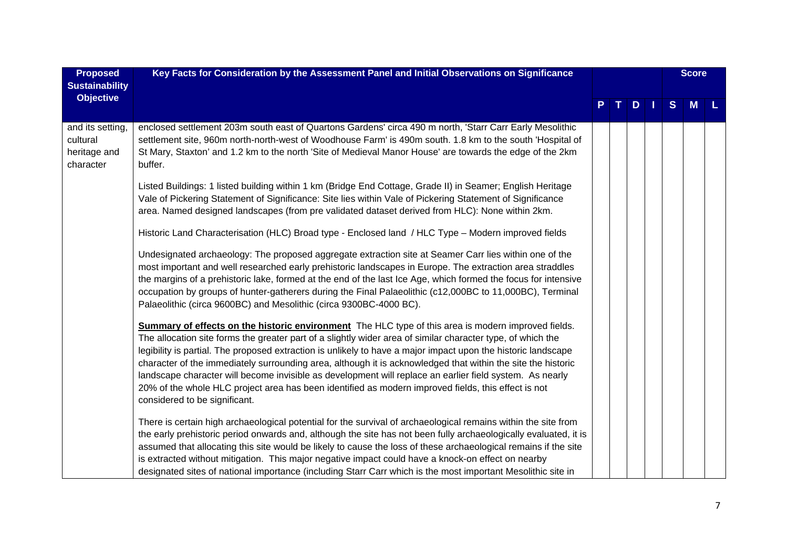| <b>Proposed</b>                                           | Key Facts for Consideration by the Assessment Panel and Initial Observations on Significance                                                                                                                                                                                                                                                                                                                                                                                                                                                                                                                                                                                                            |  |    |     | <b>Score</b> |   |          |  |
|-----------------------------------------------------------|---------------------------------------------------------------------------------------------------------------------------------------------------------------------------------------------------------------------------------------------------------------------------------------------------------------------------------------------------------------------------------------------------------------------------------------------------------------------------------------------------------------------------------------------------------------------------------------------------------------------------------------------------------------------------------------------------------|--|----|-----|--------------|---|----------|--|
| <b>Sustainability</b>                                     |                                                                                                                                                                                                                                                                                                                                                                                                                                                                                                                                                                                                                                                                                                         |  |    |     |              |   |          |  |
| <b>Objective</b>                                          |                                                                                                                                                                                                                                                                                                                                                                                                                                                                                                                                                                                                                                                                                                         |  | TI | $D$ |              | S | <b>M</b> |  |
| and its setting,<br>cultural<br>heritage and<br>character | enclosed settlement 203m south east of Quartons Gardens' circa 490 m north, 'Starr Carr Early Mesolithic<br>settlement site, 960m north-north-west of Woodhouse Farm' is 490m south. 1.8 km to the south 'Hospital of<br>St Mary, Staxton' and 1.2 km to the north 'Site of Medieval Manor House' are towards the edge of the 2km<br>buffer.                                                                                                                                                                                                                                                                                                                                                            |  |    |     |              |   |          |  |
|                                                           | Listed Buildings: 1 listed building within 1 km (Bridge End Cottage, Grade II) in Seamer; English Heritage<br>Vale of Pickering Statement of Significance: Site lies within Vale of Pickering Statement of Significance<br>area. Named designed landscapes (from pre validated dataset derived from HLC): None within 2km.                                                                                                                                                                                                                                                                                                                                                                              |  |    |     |              |   |          |  |
|                                                           | Historic Land Characterisation (HLC) Broad type - Enclosed land / HLC Type - Modern improved fields                                                                                                                                                                                                                                                                                                                                                                                                                                                                                                                                                                                                     |  |    |     |              |   |          |  |
|                                                           | Undesignated archaeology: The proposed aggregate extraction site at Seamer Carr lies within one of the<br>most important and well researched early prehistoric landscapes in Europe. The extraction area straddles<br>the margins of a prehistoric lake, formed at the end of the last Ice Age, which formed the focus for intensive<br>occupation by groups of hunter-gatherers during the Final Palaeolithic (c12,000BC to 11,000BC), Terminal<br>Palaeolithic (circa 9600BC) and Mesolithic (circa 9300BC-4000 BC).                                                                                                                                                                                  |  |    |     |              |   |          |  |
|                                                           | Summary of effects on the historic environment The HLC type of this area is modern improved fields.<br>The allocation site forms the greater part of a slightly wider area of similar character type, of which the<br>legibility is partial. The proposed extraction is unlikely to have a major impact upon the historic landscape<br>character of the immediately surrounding area, although it is acknowledged that within the site the historic<br>landscape character will become invisible as development will replace an earlier field system. As nearly<br>20% of the whole HLC project area has been identified as modern improved fields, this effect is not<br>considered to be significant. |  |    |     |              |   |          |  |
|                                                           | There is certain high archaeological potential for the survival of archaeological remains within the site from<br>the early prehistoric period onwards and, although the site has not been fully archaeologically evaluated, it is<br>assumed that allocating this site would be likely to cause the loss of these archaeological remains if the site<br>is extracted without mitigation. This major negative impact could have a knock-on effect on nearby<br>designated sites of national importance (including Starr Carr which is the most important Mesolithic site in                                                                                                                             |  |    |     |              |   |          |  |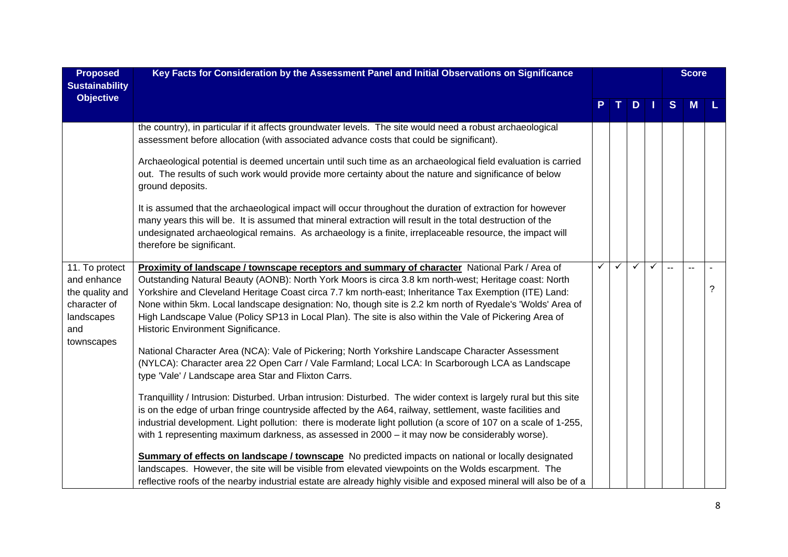| <b>Proposed</b><br><b>Sustainability</b>                                                            | Key Facts for Consideration by the Assessment Panel and Initial Observations on Significance                                                                                                                                                                                                                                                                                                                                                                                                                                                                                                                                                                                                                                                                                                                                                                                                                                                                                                                                                                                                                                                                                                                                                                                                                                                                                                                                                                                                                                                                                                                                              |              |   |              |  | <b>Score</b> |   |   |
|-----------------------------------------------------------------------------------------------------|-------------------------------------------------------------------------------------------------------------------------------------------------------------------------------------------------------------------------------------------------------------------------------------------------------------------------------------------------------------------------------------------------------------------------------------------------------------------------------------------------------------------------------------------------------------------------------------------------------------------------------------------------------------------------------------------------------------------------------------------------------------------------------------------------------------------------------------------------------------------------------------------------------------------------------------------------------------------------------------------------------------------------------------------------------------------------------------------------------------------------------------------------------------------------------------------------------------------------------------------------------------------------------------------------------------------------------------------------------------------------------------------------------------------------------------------------------------------------------------------------------------------------------------------------------------------------------------------------------------------------------------------|--------------|---|--------------|--|--------------|---|---|
| <b>Objective</b>                                                                                    |                                                                                                                                                                                                                                                                                                                                                                                                                                                                                                                                                                                                                                                                                                                                                                                                                                                                                                                                                                                                                                                                                                                                                                                                                                                                                                                                                                                                                                                                                                                                                                                                                                           |              |   | D            |  | S            | M |   |
|                                                                                                     | the country), in particular if it affects groundwater levels. The site would need a robust archaeological<br>assessment before allocation (with associated advance costs that could be significant).                                                                                                                                                                                                                                                                                                                                                                                                                                                                                                                                                                                                                                                                                                                                                                                                                                                                                                                                                                                                                                                                                                                                                                                                                                                                                                                                                                                                                                      |              |   |              |  |              |   |   |
|                                                                                                     | Archaeological potential is deemed uncertain until such time as an archaeological field evaluation is carried<br>out. The results of such work would provide more certainty about the nature and significance of below<br>ground deposits.                                                                                                                                                                                                                                                                                                                                                                                                                                                                                                                                                                                                                                                                                                                                                                                                                                                                                                                                                                                                                                                                                                                                                                                                                                                                                                                                                                                                |              |   |              |  |              |   |   |
|                                                                                                     | It is assumed that the archaeological impact will occur throughout the duration of extraction for however<br>many years this will be. It is assumed that mineral extraction will result in the total destruction of the<br>undesignated archaeological remains. As archaeology is a finite, irreplaceable resource, the impact will<br>therefore be significant.                                                                                                                                                                                                                                                                                                                                                                                                                                                                                                                                                                                                                                                                                                                                                                                                                                                                                                                                                                                                                                                                                                                                                                                                                                                                          |              |   |              |  |              |   |   |
| 11. To protect<br>and enhance<br>the quality and<br>character of<br>landscapes<br>and<br>townscapes | Proximity of landscape / townscape receptors and summary of character National Park / Area of<br>Outstanding Natural Beauty (AONB): North York Moors is circa 3.8 km north-west; Heritage coast: North<br>Yorkshire and Cleveland Heritage Coast circa 7.7 km north-east; Inheritance Tax Exemption (ITE) Land:<br>None within 5km. Local landscape designation: No, though site is 2.2 km north of Ryedale's 'Wolds' Area of<br>High Landscape Value (Policy SP13 in Local Plan). The site is also within the Vale of Pickering Area of<br>Historic Environment Significance.<br>National Character Area (NCA): Vale of Pickering; North Yorkshire Landscape Character Assessment<br>(NYLCA): Character area 22 Open Carr / Vale Farmland; Local LCA: In Scarborough LCA as Landscape<br>type 'Vale' / Landscape area Star and Flixton Carrs.<br>Tranquillity / Intrusion: Disturbed. Urban intrusion: Disturbed. The wider context is largely rural but this site<br>is on the edge of urban fringe countryside affected by the A64, railway, settlement, waste facilities and<br>industrial development. Light pollution: there is moderate light pollution (a score of 107 on a scale of 1-255,<br>with 1 representing maximum darkness, as assessed in $2000 - it$ may now be considerably worse).<br>Summary of effects on landscape / townscape No predicted impacts on national or locally designated<br>landscapes. However, the site will be visible from elevated viewpoints on the Wolds escarpment. The<br>reflective roofs of the nearby industrial estate are already highly visible and exposed mineral will also be of a | $\checkmark$ | ✓ | $\checkmark$ |  |              |   | ? |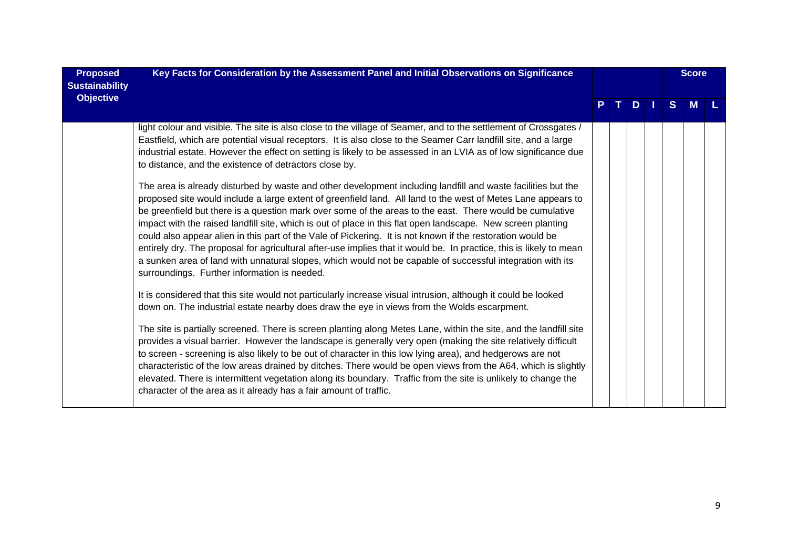| <b>Proposed</b><br><b>Sustainability</b> | Key Facts for Consideration by the Assessment Panel and Initial Observations on Significance                                                                                                                                                                                                                                                                                                                                                                                                                                                                                                                                                                                                                                                                                                                                                                |  |  |               |  |    |          |  | <b>Score</b> |  |
|------------------------------------------|-------------------------------------------------------------------------------------------------------------------------------------------------------------------------------------------------------------------------------------------------------------------------------------------------------------------------------------------------------------------------------------------------------------------------------------------------------------------------------------------------------------------------------------------------------------------------------------------------------------------------------------------------------------------------------------------------------------------------------------------------------------------------------------------------------------------------------------------------------------|--|--|---------------|--|----|----------|--|--------------|--|
| <b>Objective</b>                         |                                                                                                                                                                                                                                                                                                                                                                                                                                                                                                                                                                                                                                                                                                                                                                                                                                                             |  |  | $D \mid \mid$ |  | S. | <b>M</b> |  |              |  |
|                                          | light colour and visible. The site is also close to the village of Seamer, and to the settlement of Crossgates /<br>Eastfield, which are potential visual receptors. It is also close to the Seamer Carr landfill site, and a large<br>industrial estate. However the effect on setting is likely to be assessed in an LVIA as of low significance due<br>to distance, and the existence of detractors close by.                                                                                                                                                                                                                                                                                                                                                                                                                                            |  |  |               |  |    |          |  |              |  |
|                                          | The area is already disturbed by waste and other development including landfill and waste facilities but the<br>proposed site would include a large extent of greenfield land. All land to the west of Metes Lane appears to<br>be greenfield but there is a question mark over some of the areas to the east. There would be cumulative<br>impact with the raised landfill site, which is out of place in this flat open landscape. New screen planting<br>could also appear alien in this part of the Vale of Pickering. It is not known if the restoration would be<br>entirely dry. The proposal for agricultural after-use implies that it would be. In practice, this is likely to mean<br>a sunken area of land with unnatural slopes, which would not be capable of successful integration with its<br>surroundings. Further information is needed. |  |  |               |  |    |          |  |              |  |
|                                          | It is considered that this site would not particularly increase visual intrusion, although it could be looked<br>down on. The industrial estate nearby does draw the eye in views from the Wolds escarpment.                                                                                                                                                                                                                                                                                                                                                                                                                                                                                                                                                                                                                                                |  |  |               |  |    |          |  |              |  |
|                                          | The site is partially screened. There is screen planting along Metes Lane, within the site, and the landfill site<br>provides a visual barrier. However the landscape is generally very open (making the site relatively difficult<br>to screen - screening is also likely to be out of character in this low lying area), and hedgerows are not<br>characteristic of the low areas drained by ditches. There would be open views from the A64, which is slightly<br>elevated. There is intermittent vegetation along its boundary. Traffic from the site is unlikely to change the<br>character of the area as it already has a fair amount of traffic.                                                                                                                                                                                                    |  |  |               |  |    |          |  |              |  |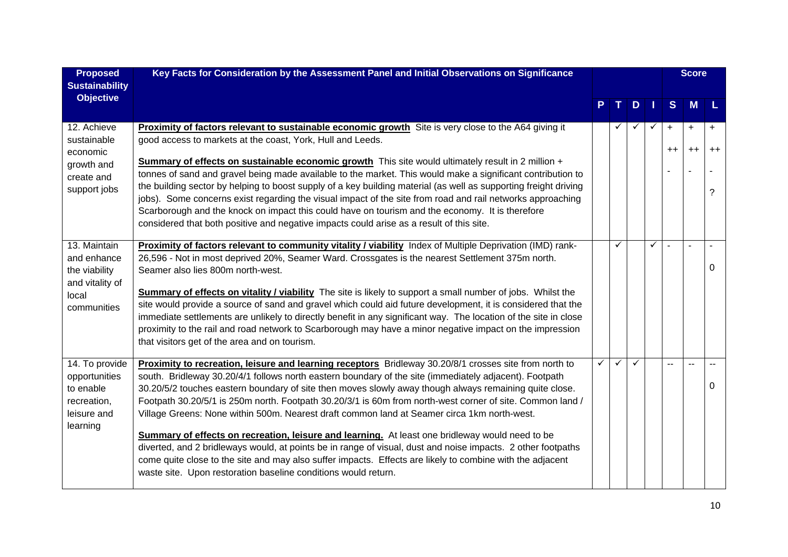| <b>Proposed</b>                                                                         | Key Facts for Consideration by the Assessment Panel and Initial Observations on Significance                                                                                                                                                                                                                                                                                                                                                                                                                                                                                                                                                                                                                                                                                                                                                                                                                                                    |              |              |              |   | <b>Score</b>   |                   |                   |
|-----------------------------------------------------------------------------------------|-------------------------------------------------------------------------------------------------------------------------------------------------------------------------------------------------------------------------------------------------------------------------------------------------------------------------------------------------------------------------------------------------------------------------------------------------------------------------------------------------------------------------------------------------------------------------------------------------------------------------------------------------------------------------------------------------------------------------------------------------------------------------------------------------------------------------------------------------------------------------------------------------------------------------------------------------|--------------|--------------|--------------|---|----------------|-------------------|-------------------|
| <b>Sustainability</b>                                                                   |                                                                                                                                                                                                                                                                                                                                                                                                                                                                                                                                                                                                                                                                                                                                                                                                                                                                                                                                                 |              |              |              |   |                |                   |                   |
| <b>Objective</b>                                                                        |                                                                                                                                                                                                                                                                                                                                                                                                                                                                                                                                                                                                                                                                                                                                                                                                                                                                                                                                                 |              |              | D            |   | S              | M                 |                   |
| 12. Achieve<br>sustainable<br>economic                                                  | Proximity of factors relevant to sustainable economic growth Site is very close to the A64 giving it<br>good access to markets at the coast, York, Hull and Leeds.                                                                                                                                                                                                                                                                                                                                                                                                                                                                                                                                                                                                                                                                                                                                                                              |              |              | ✓            | ✓ | $+$<br>$^{++}$ | $\ddot{}$<br>$++$ | $\ddot{}$<br>$++$ |
| growth and<br>create and<br>support jobs                                                | <b>Summary of effects on sustainable economic growth</b> This site would ultimately result in 2 million +<br>tonnes of sand and gravel being made available to the market. This would make a significant contribution to<br>the building sector by helping to boost supply of a key building material (as well as supporting freight driving<br>jobs). Some concerns exist regarding the visual impact of the site from road and rail networks approaching<br>Scarborough and the knock on impact this could have on tourism and the economy. It is therefore<br>considered that both positive and negative impacts could arise as a result of this site.                                                                                                                                                                                                                                                                                       |              |              |              |   |                |                   | ?                 |
| 13. Maintain<br>and enhance<br>the viability<br>and vitality of<br>local<br>communities | Proximity of factors relevant to community vitality / viability Index of Multiple Deprivation (IMD) rank-<br>26,596 - Not in most deprived 20%, Seamer Ward. Crossgates is the nearest Settlement 375m north.<br>Seamer also lies 800m north-west.<br>Summary of effects on vitality / viability The site is likely to support a small number of jobs. Whilst the<br>site would provide a source of sand and gravel which could aid future development, it is considered that the<br>immediate settlements are unlikely to directly benefit in any significant way. The location of the site in close<br>proximity to the rail and road network to Scarborough may have a minor negative impact on the impression<br>that visitors get of the area and on tourism.                                                                                                                                                                              |              | ✓            |              | ✓ |                |                   | 0                 |
| 14. To provide<br>opportunities<br>to enable<br>recreation,<br>leisure and<br>learning  | Proximity to recreation, leisure and learning receptors Bridleway 30.20/8/1 crosses site from north to<br>south. Bridleway 30.20/4/1 follows north eastern boundary of the site (immediately adjacent). Footpath<br>30.20/5/2 touches eastern boundary of site then moves slowly away though always remaining quite close.<br>Footpath 30.20/5/1 is 250m north. Footpath 30.20/3/1 is 60m from north-west corner of site. Common land /<br>Village Greens: None within 500m. Nearest draft common land at Seamer circa 1km north-west.<br><b>Summary of effects on recreation, leisure and learning.</b> At least one bridleway would need to be<br>diverted, and 2 bridleways would, at points be in range of visual, dust and noise impacts. 2 other footpaths<br>come quite close to the site and may also suffer impacts. Effects are likely to combine with the adjacent<br>waste site. Upon restoration baseline conditions would return. | $\checkmark$ | $\checkmark$ | $\checkmark$ |   | $\sim$         | $\sim$            | 0                 |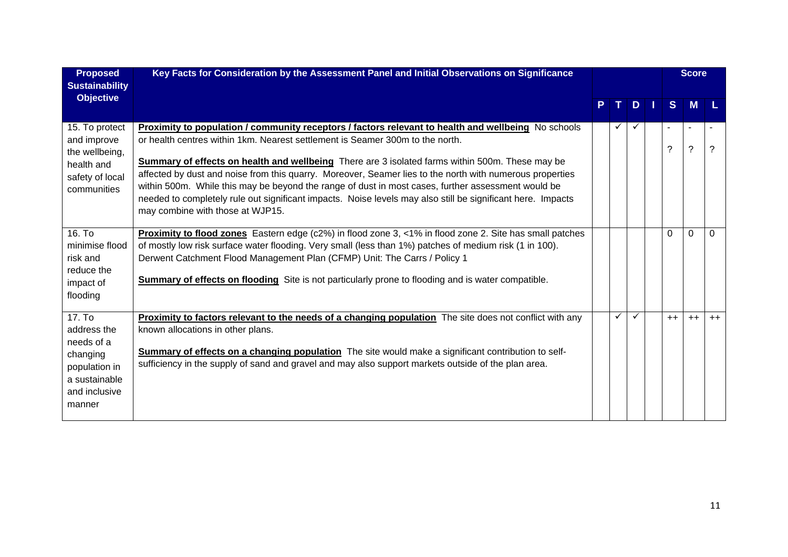| <b>Proposed</b><br><b>Sustainability</b>                                                                     | Key Facts for Consideration by the Assessment Panel and Initial Observations on Significance                                                                                                                                                                                                                                                                                                                                                                                                                                                                                                                                                                        |              |              |          | <b>Score</b>                 |      |
|--------------------------------------------------------------------------------------------------------------|---------------------------------------------------------------------------------------------------------------------------------------------------------------------------------------------------------------------------------------------------------------------------------------------------------------------------------------------------------------------------------------------------------------------------------------------------------------------------------------------------------------------------------------------------------------------------------------------------------------------------------------------------------------------|--------------|--------------|----------|------------------------------|------|
| <b>Objective</b>                                                                                             |                                                                                                                                                                                                                                                                                                                                                                                                                                                                                                                                                                                                                                                                     |              | D            | S.       | M                            |      |
| 15. To protect<br>and improve<br>the wellbeing,<br>health and<br>safety of local<br>communities              | <b>Proximity to population / community receptors / factors relevant to health and wellbeing</b> No schools<br>or health centres within 1km. Nearest settlement is Seamer 300m to the north.<br>Summary of effects on health and wellbeing There are 3 isolated farms within 500m. These may be<br>affected by dust and noise from this quarry. Moreover, Seamer lies to the north with numerous properties<br>within 500m. While this may be beyond the range of dust in most cases, further assessment would be<br>needed to completely rule out significant impacts. Noise levels may also still be significant here. Impacts<br>may combine with those at WJP15. | $\checkmark$ | $\checkmark$ | ?        | $\blacksquare$<br>$\ddot{?}$ | ?    |
| 16. To<br>minimise flood<br>risk and<br>reduce the<br>impact of<br>flooding                                  | <b>Proximity to flood zones</b> Eastern edge (c2%) in flood zone 3, <1% in flood zone 2. Site has small patches<br>of mostly low risk surface water flooding. Very small (less than 1%) patches of medium risk (1 in 100).<br>Derwent Catchment Flood Management Plan (CFMP) Unit: The Carrs / Policy 1<br><b>Summary of effects on flooding</b> Site is not particularly prone to flooding and is water compatible.                                                                                                                                                                                                                                                |              |              | $\Omega$ | $\Omega$                     | 0    |
| 17. To<br>address the<br>needs of a<br>changing<br>population in<br>a sustainable<br>and inclusive<br>manner | <b>Proximity to factors relevant to the needs of a changing population</b> The site does not conflict with any<br>known allocations in other plans.<br>Summary of effects on a changing population The site would make a significant contribution to self-<br>sufficiency in the supply of sand and gravel and may also support markets outside of the plan area.                                                                                                                                                                                                                                                                                                   | ✓            | $\checkmark$ | $++$     | $++$                         | $++$ |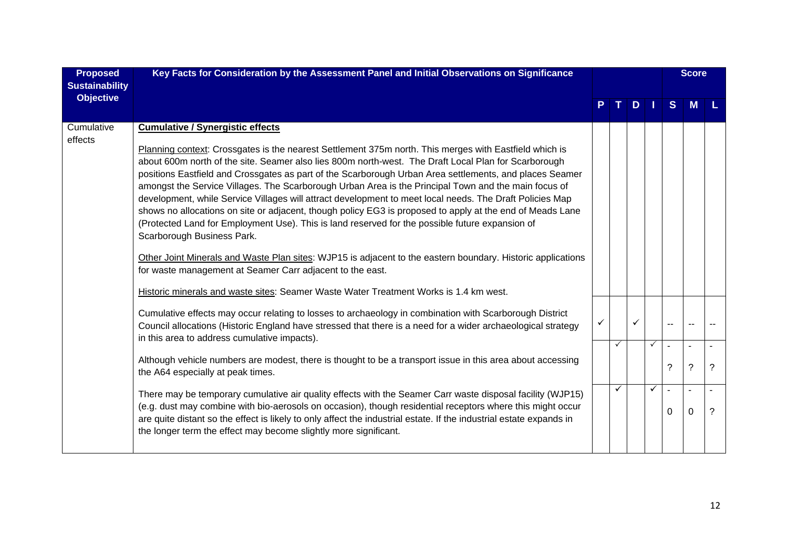| <b>Proposed</b><br><b>Sustainability</b> | Key Facts for Consideration by the Assessment Panel and Initial Observations on Significance                                                                                                                                                                                                                                                                                                                                                                                                                                                                                                                                                                                                                                                                                                                                                                                                                                                                                                                                                                                                                |    |              |     |              |                                 | <b>Score</b>               |   |
|------------------------------------------|-------------------------------------------------------------------------------------------------------------------------------------------------------------------------------------------------------------------------------------------------------------------------------------------------------------------------------------------------------------------------------------------------------------------------------------------------------------------------------------------------------------------------------------------------------------------------------------------------------------------------------------------------------------------------------------------------------------------------------------------------------------------------------------------------------------------------------------------------------------------------------------------------------------------------------------------------------------------------------------------------------------------------------------------------------------------------------------------------------------|----|--------------|-----|--------------|---------------------------------|----------------------------|---|
| <b>Objective</b>                         |                                                                                                                                                                                                                                                                                                                                                                                                                                                                                                                                                                                                                                                                                                                                                                                                                                                                                                                                                                                                                                                                                                             | P. | $T_{\rm{H}}$ | $D$ |              | S                               | M                          |   |
| Cumulative<br>effects                    | <b>Cumulative / Synergistic effects</b><br>Planning context: Crossgates is the nearest Settlement 375m north. This merges with Eastfield which is<br>about 600m north of the site. Seamer also lies 800m north-west. The Draft Local Plan for Scarborough<br>positions Eastfield and Crossgates as part of the Scarborough Urban Area settlements, and places Seamer<br>amongst the Service Villages. The Scarborough Urban Area is the Principal Town and the main focus of<br>development, while Service Villages will attract development to meet local needs. The Draft Policies Map<br>shows no allocations on site or adjacent, though policy EG3 is proposed to apply at the end of Meads Lane<br>(Protected Land for Employment Use). This is land reserved for the possible future expansion of<br>Scarborough Business Park.<br>Other Joint Minerals and Waste Plan sites: WJP15 is adjacent to the eastern boundary. Historic applications<br>for waste management at Seamer Carr adjacent to the east.<br>Historic minerals and waste sites: Seamer Waste Water Treatment Works is 1.4 km west. |    |              |     |              |                                 |                            |   |
|                                          | Cumulative effects may occur relating to losses to archaeology in combination with Scarborough District<br>Council allocations (Historic England have stressed that there is a need for a wider archaeological strategy<br>in this area to address cumulative impacts).                                                                                                                                                                                                                                                                                                                                                                                                                                                                                                                                                                                                                                                                                                                                                                                                                                     |    | ✓            |     | $\checkmark$ | $-$<br>$\overline{\phantom{a}}$ | $\blacksquare$             |   |
|                                          | Although vehicle numbers are modest, there is thought to be a transport issue in this area about accessing<br>the A64 especially at peak times.                                                                                                                                                                                                                                                                                                                                                                                                                                                                                                                                                                                                                                                                                                                                                                                                                                                                                                                                                             |    |              |     |              | ?                               | ?                          | ? |
|                                          | There may be temporary cumulative air quality effects with the Seamer Carr waste disposal facility (WJP15)<br>(e.g. dust may combine with bio-aerosols on occasion), though residential receptors where this might occur<br>are quite distant so the effect is likely to only affect the industrial estate. If the industrial estate expands in<br>the longer term the effect may become slightly more significant.                                                                                                                                                                                                                                                                                                                                                                                                                                                                                                                                                                                                                                                                                         |    | ✓            |     | $\checkmark$ | $\sim$<br>$\Omega$              | $\overline{a}$<br>$\Omega$ | ? |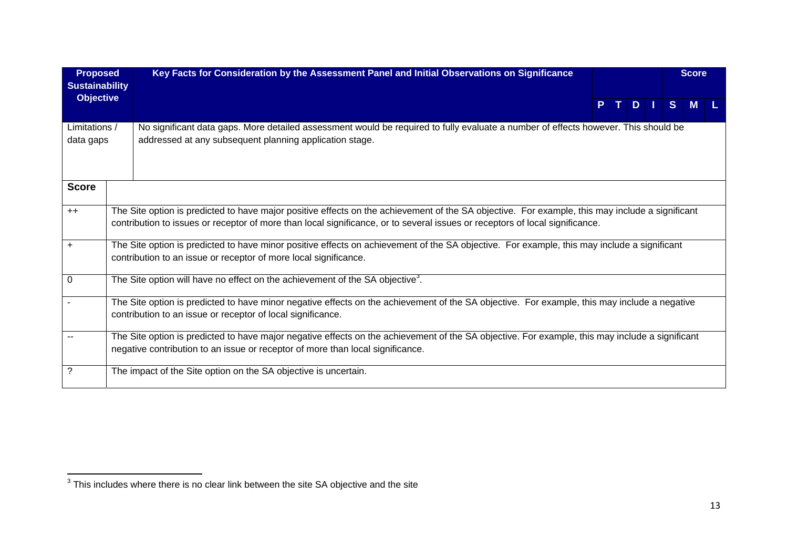| <b>Proposed</b><br><b>Sustainability</b> | Key Facts for Consideration by the Assessment Panel and Initial Observations on Significance                                                                                                                                                                                    |  |       | <b>Score</b> |  |
|------------------------------------------|---------------------------------------------------------------------------------------------------------------------------------------------------------------------------------------------------------------------------------------------------------------------------------|--|-------|--------------|--|
| <b>Objective</b>                         |                                                                                                                                                                                                                                                                                 |  | PTDIS | <b>M</b>     |  |
| Limitations /<br>data gaps               | No significant data gaps. More detailed assessment would be required to fully evaluate a number of effects however. This should be<br>addressed at any subsequent planning application stage.                                                                                   |  |       |              |  |
| <b>Score</b>                             |                                                                                                                                                                                                                                                                                 |  |       |              |  |
| $++$                                     | The Site option is predicted to have major positive effects on the achievement of the SA objective. For example, this may include a significant<br>contribution to issues or receptor of more than local significance, or to several issues or receptors of local significance. |  |       |              |  |
| $\ddot{}$                                | The Site option is predicted to have minor positive effects on achievement of the SA objective. For example, this may include a significant<br>contribution to an issue or receptor of more local significance.                                                                 |  |       |              |  |
| 0                                        | The Site option will have no effect on the achievement of the SA objective <sup>3</sup> .                                                                                                                                                                                       |  |       |              |  |
|                                          | The Site option is predicted to have minor negative effects on the achievement of the SA objective. For example, this may include a negative<br>contribution to an issue or receptor of local significance.                                                                     |  |       |              |  |
| $\sim$                                   | The Site option is predicted to have major negative effects on the achievement of the SA objective. For example, this may include a significant<br>negative contribution to an issue or receptor of more than local significance.                                               |  |       |              |  |
| $\tilde{?}$                              | The impact of the Site option on the SA objective is uncertain.                                                                                                                                                                                                                 |  |       |              |  |

 $\frac{1}{3}$ This includes where there is no clear link between the site SA objective and the site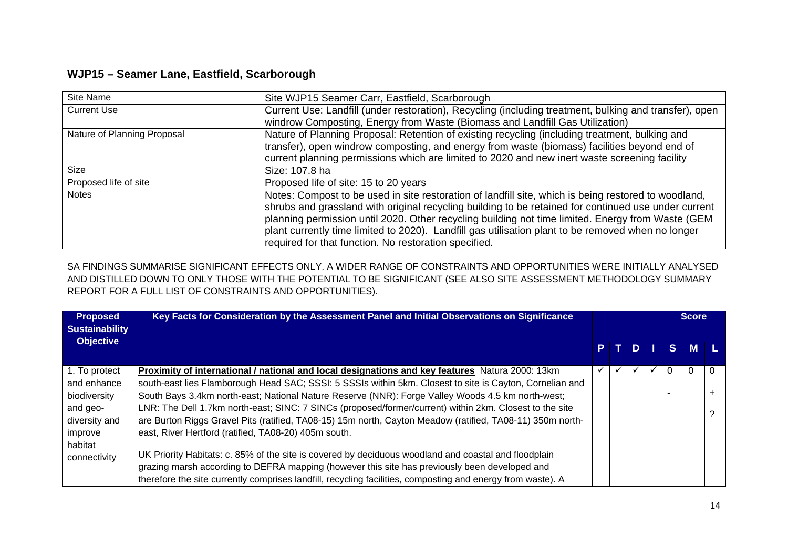## **WJP15 – Seamer Lane, Eastfield, Scarborough**

| Site Name                   | Site WJP15 Seamer Carr, Eastfield, Scarborough                                                         |
|-----------------------------|--------------------------------------------------------------------------------------------------------|
| <b>Current Use</b>          | Current Use: Landfill (under restoration), Recycling (including treatment, bulking and transfer), open |
|                             | windrow Composting, Energy from Waste (Biomass and Landfill Gas Utilization)                           |
| Nature of Planning Proposal | Nature of Planning Proposal: Retention of existing recycling (including treatment, bulking and         |
|                             | transfer), open windrow composting, and energy from waste (biomass) facilities beyond end of           |
|                             | current planning permissions which are limited to 2020 and new inert waste screening facility          |
| Size                        | Size: 107.8 ha                                                                                         |
| Proposed life of site       | Proposed life of site: 15 to 20 years                                                                  |
| <b>Notes</b>                | Notes: Compost to be used in site restoration of landfill site, which is being restored to woodland,   |
|                             | shrubs and grassland with original recycling building to be retained for continued use under current   |
|                             | planning permission until 2020. Other recycling building not time limited. Energy from Waste (GEM      |
|                             | plant currently time limited to 2020). Landfill gas utilisation plant to be removed when no longer     |
|                             | required for that function. No restoration specified.                                                  |

SA FINDINGS SUMMARISE SIGNIFICANT EFFECTS ONLY. A WIDER RANGE OF CONSTRAINTS AND OPPORTUNITIES WERE INITIALLY ANALYSED AND DISTILLED DOWN TO ONLY THOSE WITH THE POTENTIAL TO BE SIGNIFICANT (SEE ALSO SITE ASSESSMENT METHODOLOGY SUMMARY REPORT FOR A FULL LIST OF CONSTRAINTS AND OPPORTUNITIES).

| <b>Proposed</b><br><b>Sustainability</b> | Key Facts for Consideration by the Assessment Panel and Initial Observations on Significance                |              |       |   |          | Score    |          |
|------------------------------------------|-------------------------------------------------------------------------------------------------------------|--------------|-------|---|----------|----------|----------|
| <b>Objective</b>                         |                                                                                                             |              | P T D |   | S.       | <b>M</b> |          |
| 1. To protect                            | Proximity of international / national and local designations and key features Natura 2000: 13km             | $\checkmark$ |       | ✓ | $\Omega$ |          | $\Omega$ |
| and enhance                              | south-east lies Flamborough Head SAC; SSSI: 5 SSSIs within 5km. Closest to site is Cayton, Cornelian and    |              |       |   |          |          |          |
| biodiversity                             | South Bays 3.4km north-east; National Nature Reserve (NNR): Forge Valley Woods 4.5 km north-west;           |              |       |   |          |          |          |
| and geo-                                 | LNR: The Dell 1.7km north-east; SINC: 7 SINCs (proposed/former/current) within 2km. Closest to the site     |              |       |   |          |          |          |
| diversity and                            | are Burton Riggs Gravel Pits (ratified, TA08-15) 15m north, Cayton Meadow (ratified, TA08-11) 350m north-   |              |       |   |          |          |          |
| improve                                  | east, River Hertford (ratified, TA08-20) 405m south.                                                        |              |       |   |          |          |          |
| habitat                                  |                                                                                                             |              |       |   |          |          |          |
| connectivity                             | UK Priority Habitats: c. 85% of the site is covered by deciduous woodland and coastal and floodplain        |              |       |   |          |          |          |
|                                          | grazing marsh according to DEFRA mapping (however this site has previously been developed and               |              |       |   |          |          |          |
|                                          | therefore the site currently comprises landfill, recycling facilities, composting and energy from waste). A |              |       |   |          |          |          |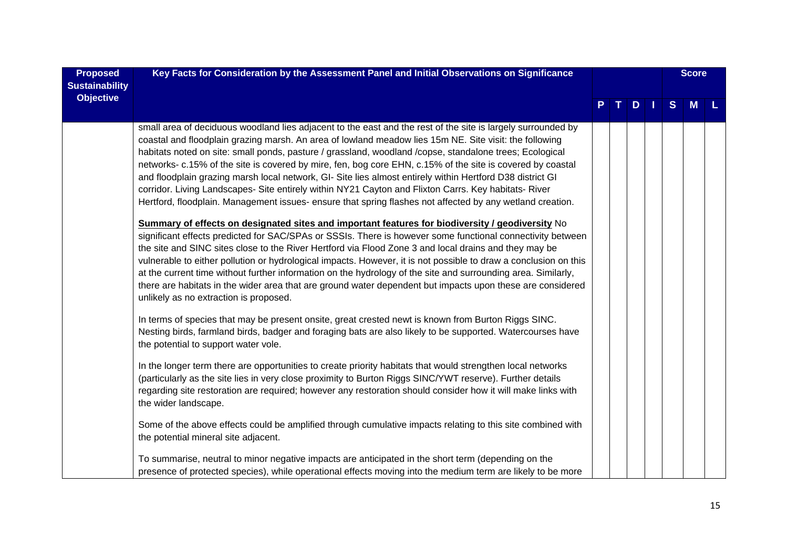| <b>Proposed</b>       | Key Facts for Consideration by the Assessment Panel and Initial Observations on Significance                                                                                                                                                                                                                                                                                                                                                                                                                                                                                                                                                                                                                                                                                                                                                                                                                                                                                                                                                                                                                                                                                                                                                                                                                                                                                                                                                                                                              |  |     |   | <b>Score</b> |  |
|-----------------------|-----------------------------------------------------------------------------------------------------------------------------------------------------------------------------------------------------------------------------------------------------------------------------------------------------------------------------------------------------------------------------------------------------------------------------------------------------------------------------------------------------------------------------------------------------------------------------------------------------------------------------------------------------------------------------------------------------------------------------------------------------------------------------------------------------------------------------------------------------------------------------------------------------------------------------------------------------------------------------------------------------------------------------------------------------------------------------------------------------------------------------------------------------------------------------------------------------------------------------------------------------------------------------------------------------------------------------------------------------------------------------------------------------------------------------------------------------------------------------------------------------------|--|-----|---|--------------|--|
| <b>Sustainability</b> |                                                                                                                                                                                                                                                                                                                                                                                                                                                                                                                                                                                                                                                                                                                                                                                                                                                                                                                                                                                                                                                                                                                                                                                                                                                                                                                                                                                                                                                                                                           |  |     |   |              |  |
| <b>Objective</b>      |                                                                                                                                                                                                                                                                                                                                                                                                                                                                                                                                                                                                                                                                                                                                                                                                                                                                                                                                                                                                                                                                                                                                                                                                                                                                                                                                                                                                                                                                                                           |  | $D$ | S | <b>M</b>     |  |
|                       |                                                                                                                                                                                                                                                                                                                                                                                                                                                                                                                                                                                                                                                                                                                                                                                                                                                                                                                                                                                                                                                                                                                                                                                                                                                                                                                                                                                                                                                                                                           |  |     |   |              |  |
|                       | small area of deciduous woodland lies adjacent to the east and the rest of the site is largely surrounded by<br>coastal and floodplain grazing marsh. An area of lowland meadow lies 15m NE. Site visit: the following<br>habitats noted on site: small ponds, pasture / grassland, woodland /copse, standalone trees; Ecological<br>networks- c.15% of the site is covered by mire, fen, bog core EHN, c.15% of the site is covered by coastal<br>and floodplain grazing marsh local network, GI- Site lies almost entirely within Hertford D38 district GI<br>corridor. Living Landscapes- Site entirely within NY21 Cayton and Flixton Carrs. Key habitats- River<br>Hertford, floodplain. Management issues- ensure that spring flashes not affected by any wetland creation.<br>Summary of effects on designated sites and important features for biodiversity / geodiversity No<br>significant effects predicted for SAC/SPAs or SSSIs. There is however some functional connectivity between<br>the site and SINC sites close to the River Hertford via Flood Zone 3 and local drains and they may be<br>vulnerable to either pollution or hydrological impacts. However, it is not possible to draw a conclusion on this<br>at the current time without further information on the hydrology of the site and surrounding area. Similarly,<br>there are habitats in the wider area that are ground water dependent but impacts upon these are considered<br>unlikely as no extraction is proposed. |  |     |   |              |  |
|                       | In terms of species that may be present onsite, great crested newt is known from Burton Riggs SINC.<br>Nesting birds, farmland birds, badger and foraging bats are also likely to be supported. Watercourses have<br>the potential to support water vole.                                                                                                                                                                                                                                                                                                                                                                                                                                                                                                                                                                                                                                                                                                                                                                                                                                                                                                                                                                                                                                                                                                                                                                                                                                                 |  |     |   |              |  |
|                       | In the longer term there are opportunities to create priority habitats that would strengthen local networks<br>(particularly as the site lies in very close proximity to Burton Riggs SINC/YWT reserve). Further details<br>regarding site restoration are required; however any restoration should consider how it will make links with<br>the wider landscape.                                                                                                                                                                                                                                                                                                                                                                                                                                                                                                                                                                                                                                                                                                                                                                                                                                                                                                                                                                                                                                                                                                                                          |  |     |   |              |  |
|                       | Some of the above effects could be amplified through cumulative impacts relating to this site combined with<br>the potential mineral site adjacent.                                                                                                                                                                                                                                                                                                                                                                                                                                                                                                                                                                                                                                                                                                                                                                                                                                                                                                                                                                                                                                                                                                                                                                                                                                                                                                                                                       |  |     |   |              |  |
|                       | To summarise, neutral to minor negative impacts are anticipated in the short term (depending on the<br>presence of protected species), while operational effects moving into the medium term are likely to be more                                                                                                                                                                                                                                                                                                                                                                                                                                                                                                                                                                                                                                                                                                                                                                                                                                                                                                                                                                                                                                                                                                                                                                                                                                                                                        |  |     |   |              |  |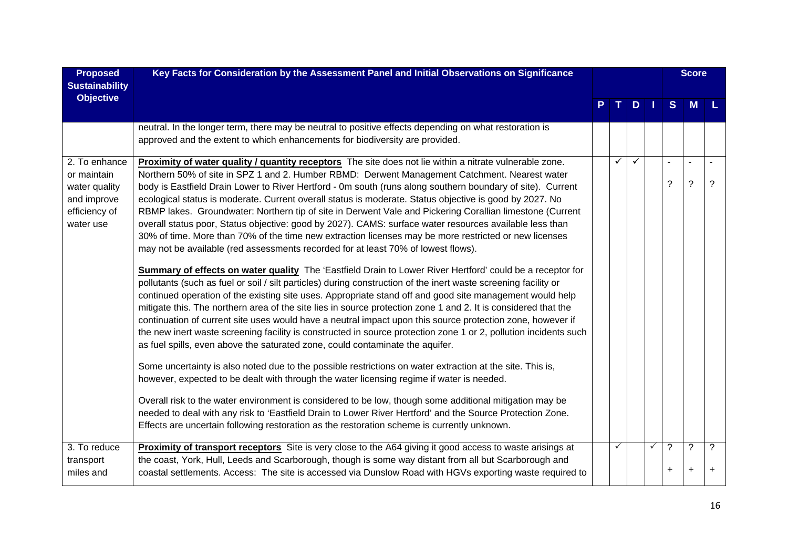| <b>Proposed</b>                                                                            | Key Facts for Consideration by the Assessment Panel and Initial Observations on Significance                                                                                                                                                                                                                                                                                                                                                                                                                                                                                                                                                                                                                                                                                                                                                                                                                                                                                                                                                                                                                                                                                                                                                                                                                                                                                                                                                                                                                                                                                                                                                                                                                                                                                                                                                      |              |              |   |                | <b>Score</b>                     |        |
|--------------------------------------------------------------------------------------------|---------------------------------------------------------------------------------------------------------------------------------------------------------------------------------------------------------------------------------------------------------------------------------------------------------------------------------------------------------------------------------------------------------------------------------------------------------------------------------------------------------------------------------------------------------------------------------------------------------------------------------------------------------------------------------------------------------------------------------------------------------------------------------------------------------------------------------------------------------------------------------------------------------------------------------------------------------------------------------------------------------------------------------------------------------------------------------------------------------------------------------------------------------------------------------------------------------------------------------------------------------------------------------------------------------------------------------------------------------------------------------------------------------------------------------------------------------------------------------------------------------------------------------------------------------------------------------------------------------------------------------------------------------------------------------------------------------------------------------------------------------------------------------------------------------------------------------------------------|--------------|--------------|---|----------------|----------------------------------|--------|
| <b>Sustainability</b>                                                                      |                                                                                                                                                                                                                                                                                                                                                                                                                                                                                                                                                                                                                                                                                                                                                                                                                                                                                                                                                                                                                                                                                                                                                                                                                                                                                                                                                                                                                                                                                                                                                                                                                                                                                                                                                                                                                                                   |              |              |   |                |                                  |        |
| <b>Objective</b>                                                                           |                                                                                                                                                                                                                                                                                                                                                                                                                                                                                                                                                                                                                                                                                                                                                                                                                                                                                                                                                                                                                                                                                                                                                                                                                                                                                                                                                                                                                                                                                                                                                                                                                                                                                                                                                                                                                                                   |              | $D$          |   | S              | <b>M</b>                         |        |
|                                                                                            | neutral. In the longer term, there may be neutral to positive effects depending on what restoration is<br>approved and the extent to which enhancements for biodiversity are provided.                                                                                                                                                                                                                                                                                                                                                                                                                                                                                                                                                                                                                                                                                                                                                                                                                                                                                                                                                                                                                                                                                                                                                                                                                                                                                                                                                                                                                                                                                                                                                                                                                                                            |              |              |   |                |                                  |        |
| 2. To enhance<br>or maintain<br>water quality<br>and improve<br>efficiency of<br>water use | Proximity of water quality / quantity receptors The site does not lie within a nitrate vulnerable zone.<br>Northern 50% of site in SPZ 1 and 2. Humber RBMD: Derwent Management Catchment. Nearest water<br>body is Eastfield Drain Lower to River Hertford - 0m south (runs along southern boundary of site). Current<br>ecological status is moderate. Current overall status is moderate. Status objective is good by 2027. No<br>RBMP lakes. Groundwater: Northern tip of site in Derwent Vale and Pickering Corallian limestone (Current<br>overall status poor, Status objective: good by 2027). CAMS: surface water resources available less than<br>30% of time. More than 70% of the time new extraction licenses may be more restricted or new licenses<br>may not be available (red assessments recorded for at least 70% of lowest flows).<br>Summary of effects on water quality The 'Eastfield Drain to Lower River Hertford' could be a receptor for<br>pollutants (such as fuel or soil / silt particles) during construction of the inert waste screening facility or<br>continued operation of the existing site uses. Appropriate stand off and good site management would help<br>mitigate this. The northern area of the site lies in source protection zone 1 and 2. It is considered that the<br>continuation of current site uses would have a neutral impact upon this source protection zone, however if<br>the new inert waste screening facility is constructed in source protection zone 1 or 2, pollution incidents such<br>as fuel spills, even above the saturated zone, could contaminate the aquifer.<br>Some uncertainty is also noted due to the possible restrictions on water extraction at the site. This is,<br>however, expected to be dealt with through the water licensing regime if water is needed. | $\checkmark$ | $\checkmark$ |   | ?              | $\blacksquare$<br>$\overline{?}$ | ?      |
|                                                                                            | Overall risk to the water environment is considered to be low, though some additional mitigation may be<br>needed to deal with any risk to 'Eastfield Drain to Lower River Hertford' and the Source Protection Zone.<br>Effects are uncertain following restoration as the restoration scheme is currently unknown.                                                                                                                                                                                                                                                                                                                                                                                                                                                                                                                                                                                                                                                                                                                                                                                                                                                                                                                                                                                                                                                                                                                                                                                                                                                                                                                                                                                                                                                                                                                               |              |              |   |                |                                  |        |
| 3. To reduce<br>transport<br>miles and                                                     | <b>Proximity of transport receptors</b> Site is very close to the A64 giving it good access to waste arisings at<br>the coast, York, Hull, Leeds and Scarborough, though is some way distant from all but Scarborough and<br>coastal settlements. Access: The site is accessed via Dunslow Road with HGVs exporting waste required to                                                                                                                                                                                                                                                                                                                                                                                                                                                                                                                                                                                                                                                                                                                                                                                                                                                                                                                                                                                                                                                                                                                                                                                                                                                                                                                                                                                                                                                                                                             | ✓            |              | ✓ | ?<br>$\ddot{}$ | $\ddot{?}$                       | ?<br>٠ |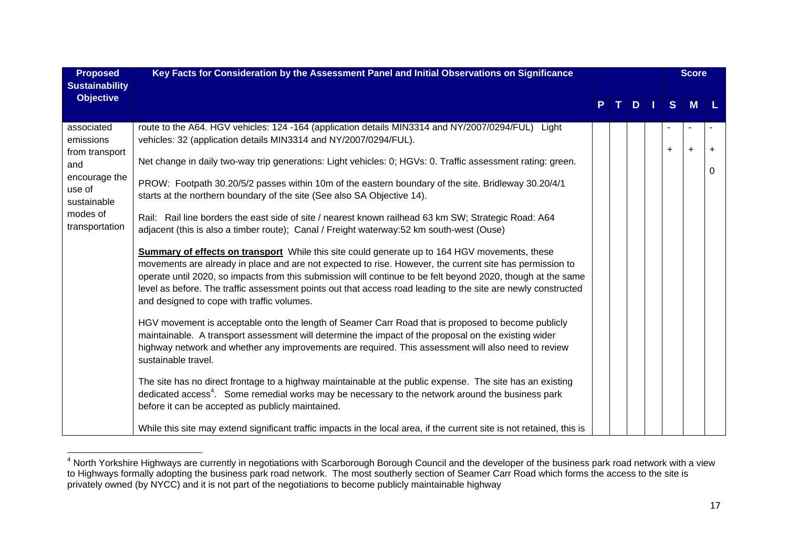| <b>Proposed</b><br><b>Sustainability</b>                                                                                 | Key Facts for Consideration by the Assessment Panel and Initial Observations on Significance                                                                                                                                                                                                                                                                                                                                                                                                                                                                                                                                                                                                                                                                                                                                                                                                                                                                                                                                                                                                                                                                                                                                                                                                                                                                                                                                                                                                                                                                                                                                                                                                                                                           |   |   |              | <b>Score</b> |                |
|--------------------------------------------------------------------------------------------------------------------------|--------------------------------------------------------------------------------------------------------------------------------------------------------------------------------------------------------------------------------------------------------------------------------------------------------------------------------------------------------------------------------------------------------------------------------------------------------------------------------------------------------------------------------------------------------------------------------------------------------------------------------------------------------------------------------------------------------------------------------------------------------------------------------------------------------------------------------------------------------------------------------------------------------------------------------------------------------------------------------------------------------------------------------------------------------------------------------------------------------------------------------------------------------------------------------------------------------------------------------------------------------------------------------------------------------------------------------------------------------------------------------------------------------------------------------------------------------------------------------------------------------------------------------------------------------------------------------------------------------------------------------------------------------------------------------------------------------------------------------------------------------|---|---|--------------|--------------|----------------|
| <b>Objective</b>                                                                                                         |                                                                                                                                                                                                                                                                                                                                                                                                                                                                                                                                                                                                                                                                                                                                                                                                                                                                                                                                                                                                                                                                                                                                                                                                                                                                                                                                                                                                                                                                                                                                                                                                                                                                                                                                                        | P | D | <sub>S</sub> | M            |                |
| associated<br>emissions<br>from transport<br>and<br>encourage the<br>use of<br>sustainable<br>modes of<br>transportation | route to the A64. HGV vehicles: 124 -164 (application details MIN3314 and NY/2007/0294/FUL) Light<br>vehicles: 32 (application details MIN3314 and NY/2007/0294/FUL).<br>Net change in daily two-way trip generations: Light vehicles: 0; HGVs: 0. Traffic assessment rating: green.<br>PROW: Footpath 30.20/5/2 passes within 10m of the eastern boundary of the site. Bridleway 30.20/4/1<br>starts at the northern boundary of the site (See also SA Objective 14).<br>Rail: Rail line borders the east side of site / nearest known railhead 63 km SW; Strategic Road: A64<br>adjacent (this is also a timber route); Canal / Freight waterway:52 km south-west (Ouse)<br><b>Summary of effects on transport</b> While this site could generate up to 164 HGV movements, these<br>movements are already in place and are not expected to rise. However, the current site has permission to<br>operate until 2020, so impacts from this submission will continue to be felt beyond 2020, though at the same<br>level as before. The traffic assessment points out that access road leading to the site are newly constructed<br>and designed to cope with traffic volumes.<br>HGV movement is acceptable onto the length of Seamer Carr Road that is proposed to become publicly<br>maintainable. A transport assessment will determine the impact of the proposal on the existing wider<br>highway network and whether any improvements are required. This assessment will also need to review<br>sustainable travel.<br>The site has no direct frontage to a highway maintainable at the public expense. The site has an existing<br>dedicated access <sup>4</sup> . Some remedial works may be necessary to the network around the business park |   |   | $\ddot{}$    | $\ddot{}$    | $\ddot{}$<br>0 |
|                                                                                                                          | before it can be accepted as publicly maintained.<br>While this site may extend significant traffic impacts in the local area, if the current site is not retained, this is                                                                                                                                                                                                                                                                                                                                                                                                                                                                                                                                                                                                                                                                                                                                                                                                                                                                                                                                                                                                                                                                                                                                                                                                                                                                                                                                                                                                                                                                                                                                                                            |   |   |              |              |                |

<sup>&</sup>lt;sup>4</sup> North Yorkshire Highways are currently in negotiations with Scarborough Borough Council and the developer of the business park road network with a view to Highways formally adopting the business park road network. The most southerly section of Seamer Carr Road which forms the access to the site is privately owned (by NYCC) and it is not part of the negotiations to become publicly maintainable highway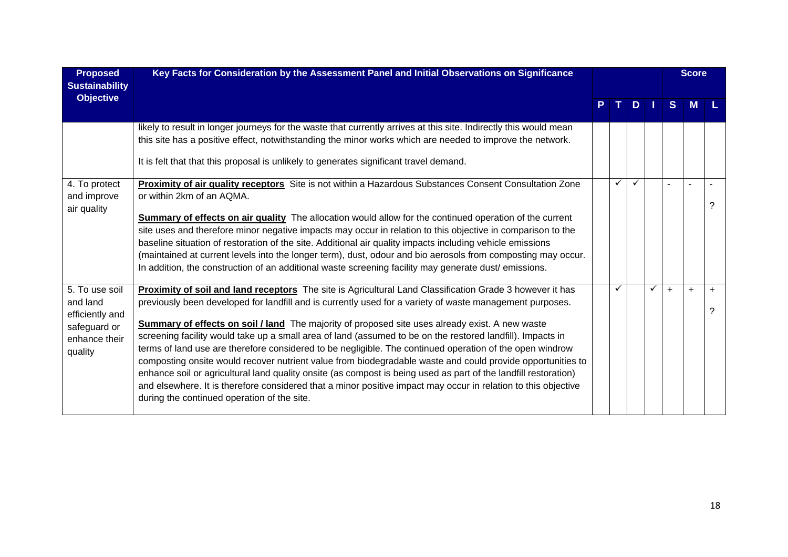| <b>Proposed</b><br><b>Sustainability</b>                                                  | Key Facts for Consideration by the Assessment Panel and Initial Observations on Significance                                                                                                                                                                                                                                                                                                                                                                                                                                                                                                                                                                                                                                                                                                                                                                                                                                                               |   |              |              |              | <b>Score</b> |                |
|-------------------------------------------------------------------------------------------|------------------------------------------------------------------------------------------------------------------------------------------------------------------------------------------------------------------------------------------------------------------------------------------------------------------------------------------------------------------------------------------------------------------------------------------------------------------------------------------------------------------------------------------------------------------------------------------------------------------------------------------------------------------------------------------------------------------------------------------------------------------------------------------------------------------------------------------------------------------------------------------------------------------------------------------------------------|---|--------------|--------------|--------------|--------------|----------------|
| <b>Objective</b>                                                                          |                                                                                                                                                                                                                                                                                                                                                                                                                                                                                                                                                                                                                                                                                                                                                                                                                                                                                                                                                            |   | D.           |              | <sub>S</sub> | M            |                |
|                                                                                           | likely to result in longer journeys for the waste that currently arrives at this site. Indirectly this would mean<br>this site has a positive effect, notwithstanding the minor works which are needed to improve the network.<br>It is felt that that this proposal is unlikely to generates significant travel demand.                                                                                                                                                                                                                                                                                                                                                                                                                                                                                                                                                                                                                                   |   |              |              |              |              |                |
| 4. To protect<br>and improve<br>air quality                                               | Proximity of air quality receptors Site is not within a Hazardous Substances Consent Consultation Zone<br>or within 2km of an AQMA.<br><b>Summary of effects on air quality</b> The allocation would allow for the continued operation of the current<br>site uses and therefore minor negative impacts may occur in relation to this objective in comparison to the<br>baseline situation of restoration of the site. Additional air quality impacts including vehicle emissions<br>(maintained at current levels into the longer term), dust, odour and bio aerosols from composting may occur.<br>In addition, the construction of an additional waste screening facility may generate dust/ emissions.                                                                                                                                                                                                                                                 | ✓ | $\checkmark$ |              |              | ÷.           |                |
| 5. To use soil<br>and land<br>efficiently and<br>safeguard or<br>enhance their<br>quality | Proximity of soil and land receptors The site is Agricultural Land Classification Grade 3 however it has<br>previously been developed for landfill and is currently used for a variety of waste management purposes.<br><b>Summary of effects on soil / land</b> The majority of proposed site uses already exist. A new waste<br>screening facility would take up a small area of land (assumed to be on the restored landfill). Impacts in<br>terms of land use are therefore considered to be negligible. The continued operation of the open windrow<br>composting onsite would recover nutrient value from biodegradable waste and could provide opportunities to<br>enhance soil or agricultural land quality onsite (as compost is being used as part of the landfill restoration)<br>and elsewhere. It is therefore considered that a minor positive impact may occur in relation to this objective<br>during the continued operation of the site. |   |              | $\checkmark$ | $\ddot{}$    | $\ddot{}$    | $\ddot{}$<br>2 |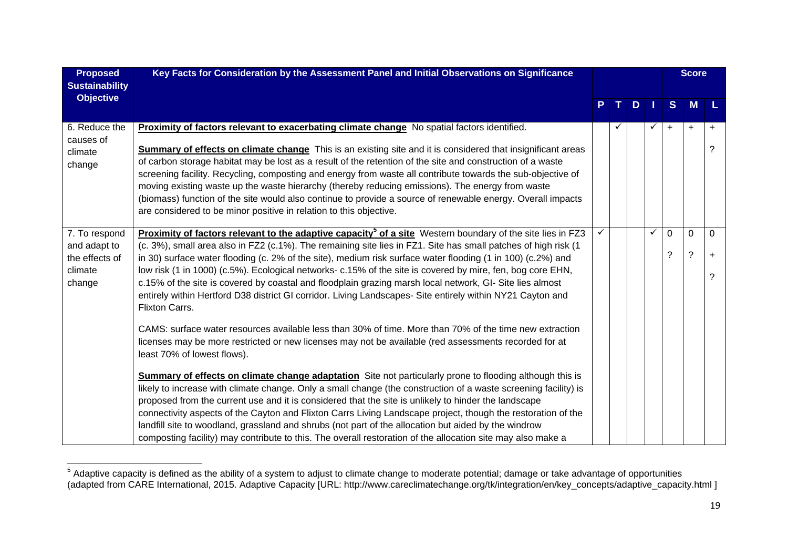| <b>Proposed</b><br><b>Sustainability</b>                             | Key Facts for Consideration by the Assessment Panel and Initial Observations on Significance                                                                                                                                                                                                                                                                                                                                                                                                                                                                                                                                                                                                                                                                                                                                                                                                                                                                         |  |   |   |                         | <b>Score</b>        |                      |
|----------------------------------------------------------------------|----------------------------------------------------------------------------------------------------------------------------------------------------------------------------------------------------------------------------------------------------------------------------------------------------------------------------------------------------------------------------------------------------------------------------------------------------------------------------------------------------------------------------------------------------------------------------------------------------------------------------------------------------------------------------------------------------------------------------------------------------------------------------------------------------------------------------------------------------------------------------------------------------------------------------------------------------------------------|--|---|---|-------------------------|---------------------|----------------------|
| <b>Objective</b>                                                     |                                                                                                                                                                                                                                                                                                                                                                                                                                                                                                                                                                                                                                                                                                                                                                                                                                                                                                                                                                      |  | D |   | S                       | <b>M</b>            |                      |
| 6. Reduce the<br>causes of<br>climate<br>change                      | Proximity of factors relevant to exacerbating climate change No spatial factors identified.<br><b>Summary of effects on climate change</b> This is an existing site and it is considered that insignificant areas<br>of carbon storage habitat may be lost as a result of the retention of the site and construction of a waste<br>screening facility. Recycling, composting and energy from waste all contribute towards the sub-objective of<br>moving existing waste up the waste hierarchy (thereby reducing emissions). The energy from waste<br>(biomass) function of the site would also continue to provide a source of renewable energy. Overall impacts<br>are considered to be minor positive in relation to this objective.                                                                                                                                                                                                                              |  |   | ✓ | $\ddot{}$               | $\ddot{}$           | $\ddot{}$<br>?       |
| 7. To respond<br>and adapt to<br>the effects of<br>climate<br>change | Proximity of factors relevant to the adaptive capacity <sup>5</sup> of a site Western boundary of the site lies in FZ3<br>(c. 3%), small area also in FZ2 (c.1%). The remaining site lies in FZ1. Site has small patches of high risk (1<br>in 30) surface water flooding (c. 2% of the site), medium risk surface water flooding (1 in 100) (c.2%) and<br>low risk (1 in 1000) (c.5%). Ecological networks- c.15% of the site is covered by mire, fen, bog core EHN,<br>c.15% of the site is covered by coastal and floodplain grazing marsh local network, GI- Site lies almost<br>entirely within Hertford D38 district GI corridor. Living Landscapes- Site entirely within NY21 Cayton and<br>Flixton Carrs.<br>CAMS: surface water resources available less than 30% of time. More than 70% of the time new extraction<br>licenses may be more restricted or new licenses may not be available (red assessments recorded for at<br>least 70% of lowest flows). |  |   | ✓ | $\Omega$<br>$\tilde{?}$ | 0<br>$\overline{?}$ | $\Omega$<br>$+$<br>? |
|                                                                      | Summary of effects on climate change adaptation Site not particularly prone to flooding although this is<br>likely to increase with climate change. Only a small change (the construction of a waste screening facility) is<br>proposed from the current use and it is considered that the site is unlikely to hinder the landscape<br>connectivity aspects of the Cayton and Flixton Carrs Living Landscape project, though the restoration of the<br>landfill site to woodland, grassland and shrubs (not part of the allocation but aided by the windrow<br>composting facility) may contribute to this. The overall restoration of the allocation site may also make a                                                                                                                                                                                                                                                                                           |  |   |   |                         |                     |                      |

 $5$  Adaptive capacity is defined as the ability of a system to adjust to climate change to moderate potential; damage or take advantage of opportunities (adapted from CARE International, 2015. Adaptive Capacity [URL: http://www.careclimatechange.org/tk/integration/en/key\_concepts/adaptive\_capacity.html ]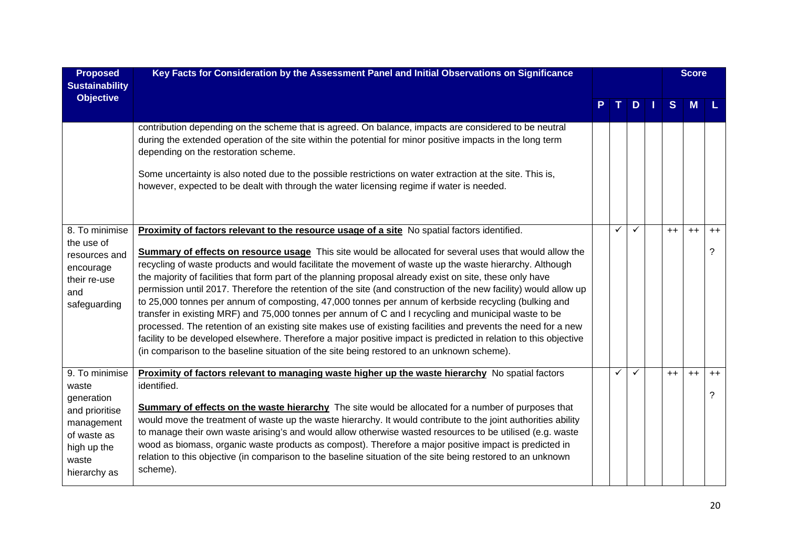| <b>Proposed</b><br><b>Sustainability</b>                                                                                     | Key Facts for Consideration by the Assessment Panel and Initial Observations on Significance                                                                                                                                                                                                                                                                                                                                                                                                                                                                                                                                                                                                                                                                                                                                                                                                                                                                                                                                                                                                                  |   |   |              | <b>Score</b> |           |
|------------------------------------------------------------------------------------------------------------------------------|---------------------------------------------------------------------------------------------------------------------------------------------------------------------------------------------------------------------------------------------------------------------------------------------------------------------------------------------------------------------------------------------------------------------------------------------------------------------------------------------------------------------------------------------------------------------------------------------------------------------------------------------------------------------------------------------------------------------------------------------------------------------------------------------------------------------------------------------------------------------------------------------------------------------------------------------------------------------------------------------------------------------------------------------------------------------------------------------------------------|---|---|--------------|--------------|-----------|
| <b>Objective</b>                                                                                                             |                                                                                                                                                                                                                                                                                                                                                                                                                                                                                                                                                                                                                                                                                                                                                                                                                                                                                                                                                                                                                                                                                                               |   | D | <sub>S</sub> | M            |           |
|                                                                                                                              | contribution depending on the scheme that is agreed. On balance, impacts are considered to be neutral<br>during the extended operation of the site within the potential for minor positive impacts in the long term<br>depending on the restoration scheme.<br>Some uncertainty is also noted due to the possible restrictions on water extraction at the site. This is,<br>however, expected to be dealt with through the water licensing regime if water is needed.                                                                                                                                                                                                                                                                                                                                                                                                                                                                                                                                                                                                                                         |   |   |              |              |           |
| 8. To minimise<br>the use of<br>resources and<br>encourage<br>their re-use<br>and<br>safeguarding                            | Proximity of factors relevant to the resource usage of a site No spatial factors identified.<br><b>Summary of effects on resource usage</b> This site would be allocated for several uses that would allow the<br>recycling of waste products and would facilitate the movement of waste up the waste hierarchy. Although<br>the majority of facilities that form part of the planning proposal already exist on site, these only have<br>permission until 2017. Therefore the retention of the site (and construction of the new facility) would allow up<br>to 25,000 tonnes per annum of composting, 47,000 tonnes per annum of kerbside recycling (bulking and<br>transfer in existing MRF) and 75,000 tonnes per annum of C and I recycling and municipal waste to be<br>processed. The retention of an existing site makes use of existing facilities and prevents the need for a new<br>facility to be developed elsewhere. Therefore a major positive impact is predicted in relation to this objective<br>(in comparison to the baseline situation of the site being restored to an unknown scheme). | ✓ | ✓ | $++$         | $++$         | $++$<br>? |
| 9. To minimise<br>waste<br>generation<br>and prioritise<br>management<br>of waste as<br>high up the<br>waste<br>hierarchy as | Proximity of factors relevant to managing waste higher up the waste hierarchy No spatial factors<br>identified.<br><b>Summary of effects on the waste hierarchy</b> The site would be allocated for a number of purposes that<br>would move the treatment of waste up the waste hierarchy. It would contribute to the joint authorities ability<br>to manage their own waste arising's and would allow otherwise wasted resources to be utilised (e.g. waste<br>wood as biomass, organic waste products as compost). Therefore a major positive impact is predicted in<br>relation to this objective (in comparison to the baseline situation of the site being restored to an unknown<br>scheme).                                                                                                                                                                                                                                                                                                                                                                                                            | ✓ | ✓ | $++$         | $++$         | $++$<br>? |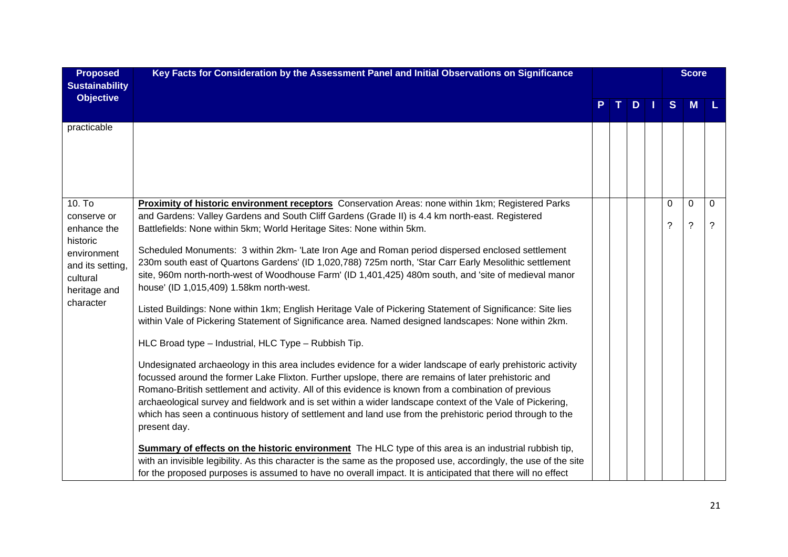| <b>Proposed</b><br><b>Sustainability</b>                                                                                                 | Key Facts for Consideration by the Assessment Panel and Initial Observations on Significance                                                                                                                                                                                                                                                                                                                                                                                                                                                                                                                                                                                                                                                                                                                                                                                                                                                                                                                                                                                                                                                                                                                                                                                                                                                                                                                                                                                                                                                                                                                                                                                                                                                                                                                                                          |  |     |               | <b>Score</b> |                     |
|------------------------------------------------------------------------------------------------------------------------------------------|-------------------------------------------------------------------------------------------------------------------------------------------------------------------------------------------------------------------------------------------------------------------------------------------------------------------------------------------------------------------------------------------------------------------------------------------------------------------------------------------------------------------------------------------------------------------------------------------------------------------------------------------------------------------------------------------------------------------------------------------------------------------------------------------------------------------------------------------------------------------------------------------------------------------------------------------------------------------------------------------------------------------------------------------------------------------------------------------------------------------------------------------------------------------------------------------------------------------------------------------------------------------------------------------------------------------------------------------------------------------------------------------------------------------------------------------------------------------------------------------------------------------------------------------------------------------------------------------------------------------------------------------------------------------------------------------------------------------------------------------------------------------------------------------------------------------------------------------------------|--|-----|---------------|--------------|---------------------|
| <b>Objective</b>                                                                                                                         |                                                                                                                                                                                                                                                                                                                                                                                                                                                                                                                                                                                                                                                                                                                                                                                                                                                                                                                                                                                                                                                                                                                                                                                                                                                                                                                                                                                                                                                                                                                                                                                                                                                                                                                                                                                                                                                       |  | $D$ | S             | M            |                     |
| practicable                                                                                                                              |                                                                                                                                                                                                                                                                                                                                                                                                                                                                                                                                                                                                                                                                                                                                                                                                                                                                                                                                                                                                                                                                                                                                                                                                                                                                                                                                                                                                                                                                                                                                                                                                                                                                                                                                                                                                                                                       |  |     |               |              |                     |
| 10. T <sub>o</sub><br>conserve or<br>enhance the<br>historic<br>environment<br>and its setting,<br>cultural<br>heritage and<br>character | Proximity of historic environment receptors Conservation Areas: none within 1km; Registered Parks<br>and Gardens: Valley Gardens and South Cliff Gardens (Grade II) is 4.4 km north-east. Registered<br>Battlefields: None within 5km; World Heritage Sites: None within 5km.<br>Scheduled Monuments: 3 within 2km- 'Late Iron Age and Roman period dispersed enclosed settlement<br>230m south east of Quartons Gardens' (ID 1,020,788) 725m north, 'Star Carr Early Mesolithic settlement<br>site, 960m north-north-west of Woodhouse Farm' (ID 1,401,425) 480m south, and 'site of medieval manor<br>house' (ID 1,015,409) 1.58km north-west.<br>Listed Buildings: None within 1km; English Heritage Vale of Pickering Statement of Significance: Site lies<br>within Vale of Pickering Statement of Significance area. Named designed landscapes: None within 2km.<br>HLC Broad type - Industrial, HLC Type - Rubbish Tip.<br>Undesignated archaeology in this area includes evidence for a wider landscape of early prehistoric activity<br>focussed around the former Lake Flixton. Further upslope, there are remains of later prehistoric and<br>Romano-British settlement and activity. All of this evidence is known from a combination of previous<br>archaeological survey and fieldwork and is set within a wider landscape context of the Vale of Pickering,<br>which has seen a continuous history of settlement and land use from the prehistoric period through to the<br>present day.<br>Summary of effects on the historic environment The HLC type of this area is an industrial rubbish tip,<br>with an invisible legibility. As this character is the same as the proposed use, accordingly, the use of the site<br>for the proposed purposes is assumed to have no overall impact. It is anticipated that there will no effect |  |     | $\Omega$<br>? | 0<br>?       | $\overline{0}$<br>? |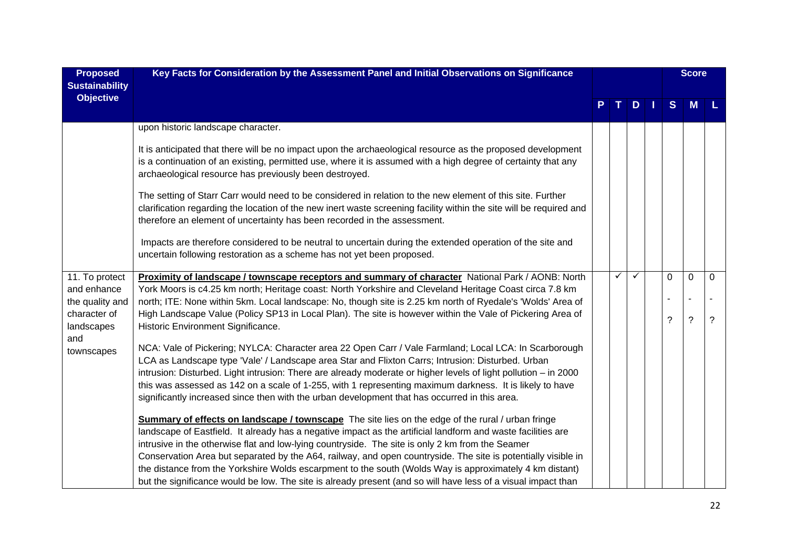| <b>Proposed</b><br><b>Sustainability</b>      | Key Facts for Consideration by the Assessment Panel and Initial Observations on Significance                                                                                                                                                                                                                                                                                                                                                                                                                                               |   |   |               |          | <b>Score</b> |                |
|-----------------------------------------------|--------------------------------------------------------------------------------------------------------------------------------------------------------------------------------------------------------------------------------------------------------------------------------------------------------------------------------------------------------------------------------------------------------------------------------------------------------------------------------------------------------------------------------------------|---|---|---------------|----------|--------------|----------------|
| <b>Objective</b>                              |                                                                                                                                                                                                                                                                                                                                                                                                                                                                                                                                            |   |   | $D \mid \mid$ | S        | M            |                |
|                                               | upon historic landscape character.                                                                                                                                                                                                                                                                                                                                                                                                                                                                                                         |   |   |               |          |              |                |
|                                               | It is anticipated that there will be no impact upon the archaeological resource as the proposed development<br>is a continuation of an existing, permitted use, where it is assumed with a high degree of certainty that any<br>archaeological resource has previously been destroyed.                                                                                                                                                                                                                                                     |   |   |               |          |              |                |
|                                               | The setting of Starr Carr would need to be considered in relation to the new element of this site. Further<br>clarification regarding the location of the new inert waste screening facility within the site will be required and<br>therefore an element of uncertainty has been recorded in the assessment.                                                                                                                                                                                                                              |   |   |               |          |              |                |
|                                               | Impacts are therefore considered to be neutral to uncertain during the extended operation of the site and<br>uncertain following restoration as a scheme has not yet been proposed.                                                                                                                                                                                                                                                                                                                                                        |   |   |               |          |              |                |
| 11. To protect<br>and enhance                 | Proximity of landscape / townscape receptors and summary of character National Park / AONB: North<br>York Moors is c4.25 km north; Heritage coast: North Yorkshire and Cleveland Heritage Coast circa 7.8 km                                                                                                                                                                                                                                                                                                                               | ✓ | ✓ |               | $\Omega$ | $\mathbf 0$  | $\mathbf 0$    |
| the quality and<br>character of<br>landscapes | north; ITE: None within 5km. Local landscape: No, though site is 2.25 km north of Ryedale's 'Wolds' Area of<br>High Landscape Value (Policy SP13 in Local Plan). The site is however within the Vale of Pickering Area of<br>Historic Environment Significance.                                                                                                                                                                                                                                                                            |   |   |               | ?        | ?            | $\overline{?}$ |
| and<br>townscapes                             | NCA: Vale of Pickering; NYLCA: Character area 22 Open Carr / Vale Farmland; Local LCA: In Scarborough<br>LCA as Landscape type 'Vale' / Landscape area Star and Flixton Carrs; Intrusion: Disturbed. Urban<br>intrusion: Disturbed. Light intrusion: There are already moderate or higher levels of light pollution – in 2000<br>this was assessed as 142 on a scale of 1-255, with 1 representing maximum darkness. It is likely to have<br>significantly increased since then with the urban development that has occurred in this area. |   |   |               |          |              |                |
|                                               | <b>Summary of effects on landscape / townscape</b> The site lies on the edge of the rural / urban fringe<br>landscape of Eastfield. It already has a negative impact as the artificial landform and waste facilities are<br>intrusive in the otherwise flat and low-lying countryside. The site is only 2 km from the Seamer                                                                                                                                                                                                               |   |   |               |          |              |                |
|                                               | Conservation Area but separated by the A64, railway, and open countryside. The site is potentially visible in                                                                                                                                                                                                                                                                                                                                                                                                                              |   |   |               |          |              |                |
|                                               | the distance from the Yorkshire Wolds escarpment to the south (Wolds Way is approximately 4 km distant)<br>but the significance would be low. The site is already present (and so will have less of a visual impact than                                                                                                                                                                                                                                                                                                                   |   |   |               |          |              |                |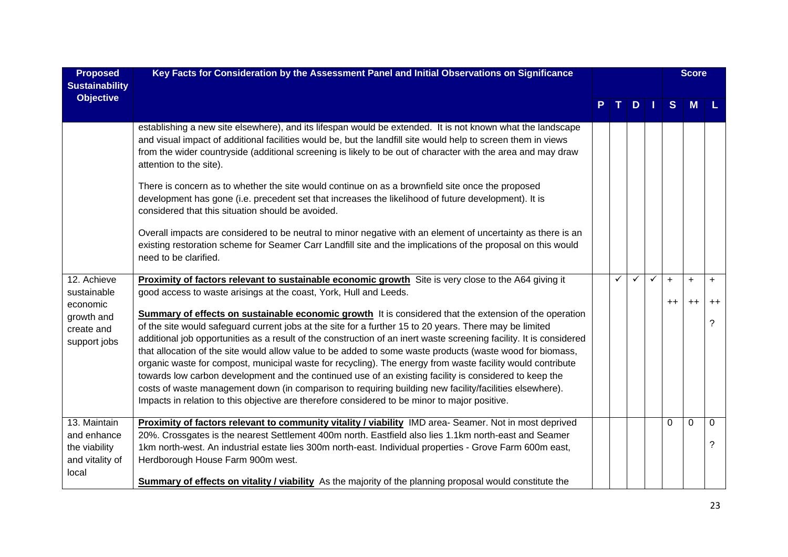| <b>Proposed</b><br><b>Sustainability</b>             | Key Facts for Consideration by the Assessment Panel and Initial Observations on Significance                                                                                                                                                                                                                                                                                                                                                                                                                                                                                                                                                                                                                                                                                                                                                                                              |  |   |              | <b>Score</b> |      |      |                |
|------------------------------------------------------|-------------------------------------------------------------------------------------------------------------------------------------------------------------------------------------------------------------------------------------------------------------------------------------------------------------------------------------------------------------------------------------------------------------------------------------------------------------------------------------------------------------------------------------------------------------------------------------------------------------------------------------------------------------------------------------------------------------------------------------------------------------------------------------------------------------------------------------------------------------------------------------------|--|---|--------------|--------------|------|------|----------------|
| <b>Objective</b>                                     |                                                                                                                                                                                                                                                                                                                                                                                                                                                                                                                                                                                                                                                                                                                                                                                                                                                                                           |  |   | $D$          |              | S    | M    |                |
|                                                      | establishing a new site elsewhere), and its lifespan would be extended. It is not known what the landscape<br>and visual impact of additional facilities would be, but the landfill site would help to screen them in views<br>from the wider countryside (additional screening is likely to be out of character with the area and may draw<br>attention to the site).                                                                                                                                                                                                                                                                                                                                                                                                                                                                                                                    |  |   |              |              |      |      |                |
|                                                      | There is concern as to whether the site would continue on as a brownfield site once the proposed<br>development has gone (i.e. precedent set that increases the likelihood of future development). It is<br>considered that this situation should be avoided.                                                                                                                                                                                                                                                                                                                                                                                                                                                                                                                                                                                                                             |  |   |              |              |      |      |                |
|                                                      | Overall impacts are considered to be neutral to minor negative with an element of uncertainty as there is an<br>existing restoration scheme for Seamer Carr Landfill site and the implications of the proposal on this would<br>need to be clarified.                                                                                                                                                                                                                                                                                                                                                                                                                                                                                                                                                                                                                                     |  |   |              |              |      |      |                |
| 12. Achieve<br>sustainable                           | Proximity of factors relevant to sustainable economic growth Site is very close to the A64 giving it<br>good access to waste arisings at the coast, York, Hull and Leeds.                                                                                                                                                                                                                                                                                                                                                                                                                                                                                                                                                                                                                                                                                                                 |  | ✓ | $\checkmark$ | $\checkmark$ | $+$  | $+$  | $\ddot{}$      |
| economic<br>growth and<br>create and<br>support jobs | Summary of effects on sustainable economic growth It is considered that the extension of the operation<br>of the site would safeguard current jobs at the site for a further 15 to 20 years. There may be limited<br>additional job opportunities as a result of the construction of an inert waste screening facility. It is considered<br>that allocation of the site would allow value to be added to some waste products (waste wood for biomass,<br>organic waste for compost, municipal waste for recycling). The energy from waste facility would contribute<br>towards low carbon development and the continued use of an existing facility is considered to keep the<br>costs of waste management down (in comparison to requiring building new facility/facilities elsewhere).<br>Impacts in relation to this objective are therefore considered to be minor to major positive. |  |   |              |              | $++$ | $++$ | $^{++}$<br>2   |
| 13. Maintain<br>and enhance                          | Proximity of factors relevant to community vitality / viability IMD area-Seamer. Not in most deprived<br>20%. Crossgates is the nearest Settlement 400m north. Eastfield also lies 1.1km north-east and Seamer                                                                                                                                                                                                                                                                                                                                                                                                                                                                                                                                                                                                                                                                            |  |   |              |              | 0    | 0    | 0              |
| the viability<br>and vitality of<br>local            | 1km north-west. An industrial estate lies 300m north-east. Individual properties - Grove Farm 600m east,<br>Herdborough House Farm 900m west.<br><b>Summary of effects on vitality / viability</b> As the majority of the planning proposal would constitute the                                                                                                                                                                                                                                                                                                                                                                                                                                                                                                                                                                                                                          |  |   |              |              |      |      | $\overline{?}$ |
|                                                      |                                                                                                                                                                                                                                                                                                                                                                                                                                                                                                                                                                                                                                                                                                                                                                                                                                                                                           |  |   |              |              |      |      |                |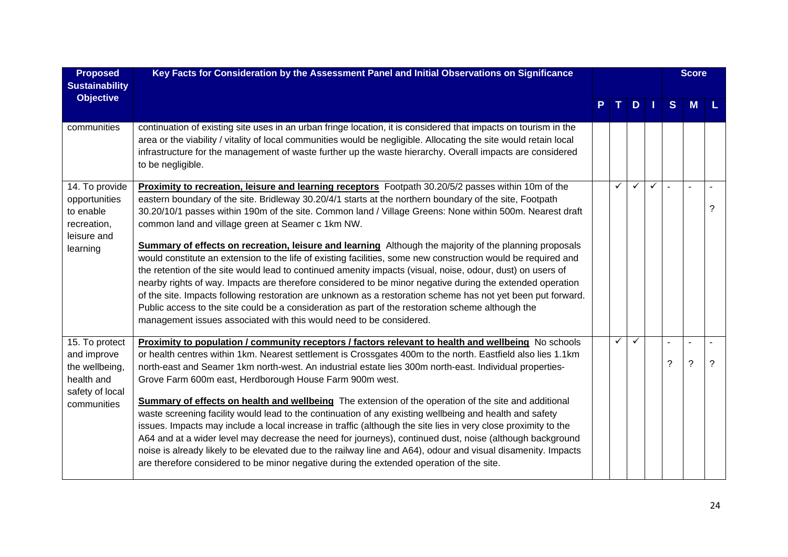| <b>Proposed</b><br><b>Sustainability</b>                                                        | Key Facts for Consideration by the Assessment Panel and Initial Observations on Significance                                                                                                                                                                                                                                                                                                                                                                                                                                                                                                                                                                                                                                                                                                                                                                                                                                                                                                                                                                                                                                      |  |              |               |              | <b>Score</b> |                |   |
|-------------------------------------------------------------------------------------------------|-----------------------------------------------------------------------------------------------------------------------------------------------------------------------------------------------------------------------------------------------------------------------------------------------------------------------------------------------------------------------------------------------------------------------------------------------------------------------------------------------------------------------------------------------------------------------------------------------------------------------------------------------------------------------------------------------------------------------------------------------------------------------------------------------------------------------------------------------------------------------------------------------------------------------------------------------------------------------------------------------------------------------------------------------------------------------------------------------------------------------------------|--|--------------|---------------|--------------|--------------|----------------|---|
| <b>Objective</b>                                                                                |                                                                                                                                                                                                                                                                                                                                                                                                                                                                                                                                                                                                                                                                                                                                                                                                                                                                                                                                                                                                                                                                                                                                   |  |              | $D \mid \mid$ |              | S            | <b>M</b>       |   |
| communities                                                                                     | continuation of existing site uses in an urban fringe location, it is considered that impacts on tourism in the<br>area or the viability / vitality of local communities would be negligible. Allocating the site would retain local<br>infrastructure for the management of waste further up the waste hierarchy. Overall impacts are considered<br>to be negligible.                                                                                                                                                                                                                                                                                                                                                                                                                                                                                                                                                                                                                                                                                                                                                            |  |              |               |              |              |                |   |
| 14. To provide<br>opportunities<br>to enable<br>recreation,<br>leisure and<br>learning          | Proximity to recreation, leisure and learning receptors Footpath 30.20/5/2 passes within 10m of the<br>eastern boundary of the site. Bridleway 30.20/4/1 starts at the northern boundary of the site, Footpath<br>30.20/10/1 passes within 190m of the site. Common land / Village Greens: None within 500m. Nearest draft<br>common land and village green at Seamer c 1km NW.<br>Summary of effects on recreation, leisure and learning Although the majority of the planning proposals<br>would constitute an extension to the life of existing facilities, some new construction would be required and<br>the retention of the site would lead to continued amenity impacts (visual, noise, odour, dust) on users of<br>nearby rights of way. Impacts are therefore considered to be minor negative during the extended operation<br>of the site. Impacts following restoration are unknown as a restoration scheme has not yet been put forward.<br>Public access to the site could be a consideration as part of the restoration scheme although the<br>management issues associated with this would need to be considered. |  | ✓            | $\checkmark$  | $\checkmark$ |              |                | ? |
| 15. To protect<br>and improve<br>the wellbeing,<br>health and<br>safety of local<br>communities | Proximity to population / community receptors / factors relevant to health and wellbeing No schools<br>or health centres within 1km. Nearest settlement is Crossgates 400m to the north. Eastfield also lies 1.1km<br>north-east and Seamer 1km north-west. An industrial estate lies 300m north-east. Individual properties-<br>Grove Farm 600m east, Herdborough House Farm 900m west.<br><b>Summary of effects on health and wellbeing</b> The extension of the operation of the site and additional<br>waste screening facility would lead to the continuation of any existing wellbeing and health and safety<br>issues. Impacts may include a local increase in traffic (although the site lies in very close proximity to the<br>A64 and at a wider level may decrease the need for journeys), continued dust, noise (although background<br>noise is already likely to be elevated due to the railway line and A64), odour and visual disamenity. Impacts<br>are therefore considered to be minor negative during the extended operation of the site.                                                                     |  | $\checkmark$ | $\checkmark$  |              | ?            | $\overline{?}$ | ? |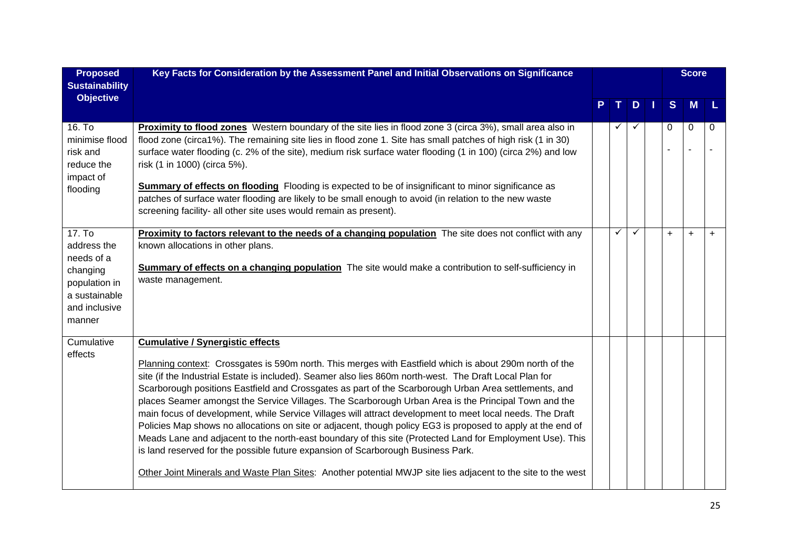| <b>Proposed</b>                                                                                              | Key Facts for Consideration by the Assessment Panel and Initial Observations on Significance                                                                                                                                                                                                                                                                                                                                                                                                                                                                                                                                                                                                                                                                                                                                                                                                                                                                                                                                |  |              |              | <b>Score</b> |           |           |     |
|--------------------------------------------------------------------------------------------------------------|-----------------------------------------------------------------------------------------------------------------------------------------------------------------------------------------------------------------------------------------------------------------------------------------------------------------------------------------------------------------------------------------------------------------------------------------------------------------------------------------------------------------------------------------------------------------------------------------------------------------------------------------------------------------------------------------------------------------------------------------------------------------------------------------------------------------------------------------------------------------------------------------------------------------------------------------------------------------------------------------------------------------------------|--|--------------|--------------|--------------|-----------|-----------|-----|
| <b>Sustainability</b><br><b>Objective</b>                                                                    |                                                                                                                                                                                                                                                                                                                                                                                                                                                                                                                                                                                                                                                                                                                                                                                                                                                                                                                                                                                                                             |  |              | D            |              | S         | <b>M</b>  | L   |
| 16. To<br>minimise flood<br>risk and<br>reduce the<br>impact of<br>flooding                                  | Proximity to flood zones Western boundary of the site lies in flood zone 3 (circa 3%), small area also in<br>flood zone (circa1%). The remaining site lies in flood zone 1. Site has small patches of high risk (1 in 30)<br>surface water flooding (c. 2% of the site), medium risk surface water flooding (1 in 100) (circa 2%) and low<br>risk (1 in 1000) (circa 5%).<br>Summary of effects on flooding Flooding is expected to be of insignificant to minor significance as<br>patches of surface water flooding are likely to be small enough to avoid (in relation to the new waste<br>screening facility- all other site uses would remain as present).                                                                                                                                                                                                                                                                                                                                                             |  | ✓            | $\checkmark$ |              | 0         | 0         | 0   |
| 17. To<br>address the<br>needs of a<br>changing<br>population in<br>a sustainable<br>and inclusive<br>manner | <b>Proximity to factors relevant to the needs of a changing population</b> The site does not conflict with any<br>known allocations in other plans.<br>Summary of effects on a changing population The site would make a contribution to self-sufficiency in<br>waste management.                                                                                                                                                                                                                                                                                                                                                                                                                                                                                                                                                                                                                                                                                                                                           |  | $\checkmark$ | $\checkmark$ |              | $\ddot{}$ | $\ddot{}$ | $+$ |
| Cumulative<br>effects                                                                                        | <b>Cumulative / Synergistic effects</b><br>Planning context: Crossgates is 590m north. This merges with Eastfield which is about 290m north of the<br>site (if the Industrial Estate is included). Seamer also lies 860m north-west. The Draft Local Plan for<br>Scarborough positions Eastfield and Crossgates as part of the Scarborough Urban Area settlements, and<br>places Seamer amongst the Service Villages. The Scarborough Urban Area is the Principal Town and the<br>main focus of development, while Service Villages will attract development to meet local needs. The Draft<br>Policies Map shows no allocations on site or adjacent, though policy EG3 is proposed to apply at the end of<br>Meads Lane and adjacent to the north-east boundary of this site (Protected Land for Employment Use). This<br>is land reserved for the possible future expansion of Scarborough Business Park.<br>Other Joint Minerals and Waste Plan Sites: Another potential MWJP site lies adjacent to the site to the west |  |              |              |              |           |           |     |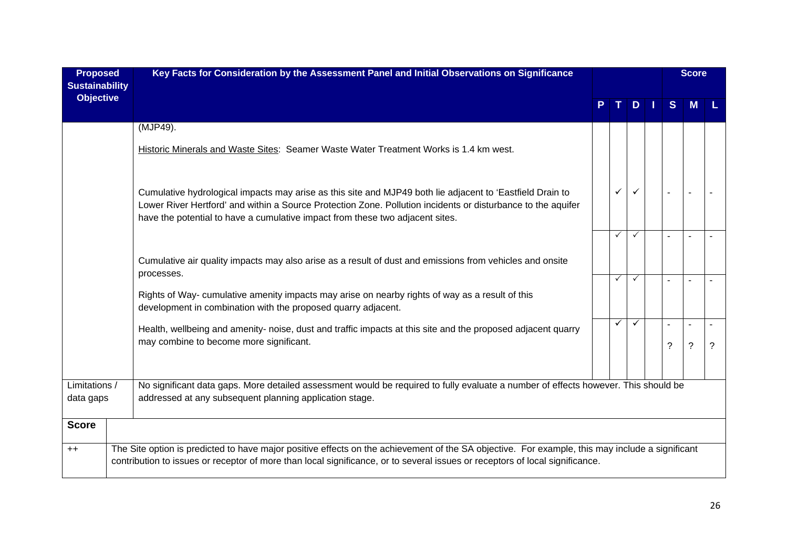| <b>Proposed</b><br><b>Sustainability</b> | Key Facts for Consideration by the Assessment Panel and Initial Observations on Significance                                                                                                                                                                                                               |  |              |              |  | <b>Score</b> |                          |   |
|------------------------------------------|------------------------------------------------------------------------------------------------------------------------------------------------------------------------------------------------------------------------------------------------------------------------------------------------------------|--|--------------|--------------|--|--------------|--------------------------|---|
| <b>Objective</b>                         |                                                                                                                                                                                                                                                                                                            |  |              | D            |  | S            | <b>M</b>                 |   |
|                                          | (MJP49).                                                                                                                                                                                                                                                                                                   |  |              |              |  |              |                          |   |
|                                          | Historic Minerals and Waste Sites: Seamer Waste Water Treatment Works is 1.4 km west.                                                                                                                                                                                                                      |  |              |              |  |              |                          |   |
|                                          | Cumulative hydrological impacts may arise as this site and MJP49 both lie adjacent to 'Eastfield Drain to<br>Lower River Hertford' and within a Source Protection Zone. Pollution incidents or disturbance to the aquifer<br>have the potential to have a cumulative impact from these two adjacent sites. |  | $\checkmark$ |              |  |              |                          |   |
|                                          |                                                                                                                                                                                                                                                                                                            |  | $\checkmark$ | $\checkmark$ |  |              |                          |   |
|                                          | Cumulative air quality impacts may also arise as a result of dust and emissions from vehicles and onsite                                                                                                                                                                                                   |  |              |              |  |              |                          |   |
|                                          | processes.                                                                                                                                                                                                                                                                                                 |  | $\checkmark$ | $\checkmark$ |  |              |                          |   |
|                                          | Rights of Way- cumulative amenity impacts may arise on nearby rights of way as a result of this<br>development in combination with the proposed quarry adjacent.                                                                                                                                           |  |              |              |  |              |                          |   |
|                                          | Health, wellbeing and amenity- noise, dust and traffic impacts at this site and the proposed adjacent quarry                                                                                                                                                                                               |  | $\checkmark$ | $\checkmark$ |  |              | $\overline{\phantom{a}}$ |   |
|                                          | may combine to become more significant.                                                                                                                                                                                                                                                                    |  |              |              |  | ?            | $\ddot{\phantom{0}}$     | ? |
| Limitations /                            | No significant data gaps. More detailed assessment would be required to fully evaluate a number of effects however. This should be                                                                                                                                                                         |  |              |              |  |              |                          |   |
| data gaps                                | addressed at any subsequent planning application stage.                                                                                                                                                                                                                                                    |  |              |              |  |              |                          |   |
| <b>Score</b>                             |                                                                                                                                                                                                                                                                                                            |  |              |              |  |              |                          |   |
| $++$                                     | The Site option is predicted to have major positive effects on the achievement of the SA objective. For example, this may include a significant<br>contribution to issues or receptor of more than local significance, or to several issues or receptors of local significance.                            |  |              |              |  |              |                          |   |